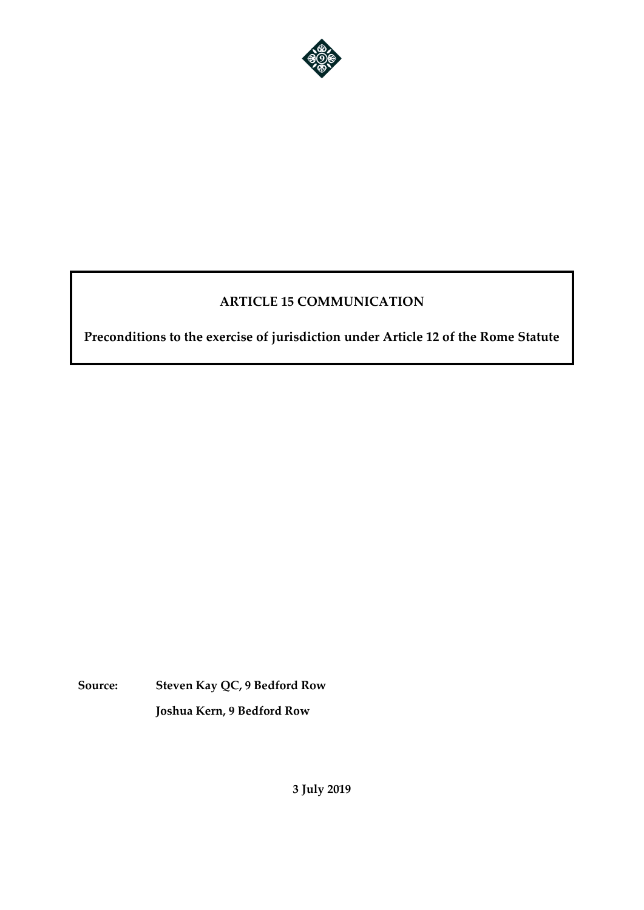

# **ARTICLE 15 COMMUNICATION**

**Preconditions to the exercise of jurisdiction under Article 12 of the Rome Statute** 

**Source: Steven Kay QC, 9 Bedford Row Joshua Kern, 9 Bedford Row**

**3 July 2019**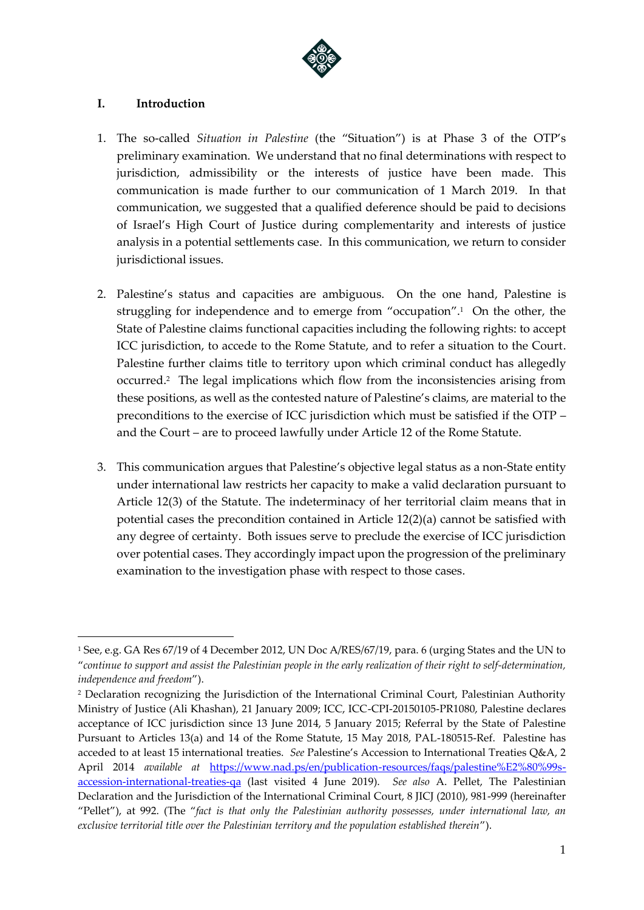

### **I. Introduction**

- 1. The so-called *Situation in Palestine* (the "Situation") is at Phase 3 of the OTP's preliminary examination. We understand that no final determinations with respect to jurisdiction, admissibility or the interests of justice have been made. This communication is made further to our communication of 1 March 2019. In that communication, we suggested that a qualified deference should be paid to decisions of Israel's High Court of Justice during complementarity and interests of justice analysis in a potential settlements case. In this communication, we return to consider jurisdictional issues.
- 2. Palestine's status and capacities are ambiguous. On the one hand, Palestine is struggling for independence and to emerge from "occupation". 1 On the other, the State of Palestine claims functional capacities including the following rights: to accept ICC jurisdiction, to accede to the Rome Statute, and to refer a situation to the Court. Palestine further claims title to territory upon which criminal conduct has allegedly occurred.<sup>2</sup> The legal implications which flow from the inconsistencies arising from these positions, as well as the contested nature of Palestine's claims, are material to the preconditions to the exercise of ICC jurisdiction which must be satisfied if the OTP – and the Court – are to proceed lawfully under Article 12 of the Rome Statute.
- 3. This communication argues that Palestine's objective legal status as a non-State entity under international law restricts her capacity to make a valid declaration pursuant to Article 12(3) of the Statute. The indeterminacy of her territorial claim means that in potential cases the precondition contained in Article 12(2)(a) cannot be satisfied with any degree of certainty. Both issues serve to preclude the exercise of ICC jurisdiction over potential cases. They accordingly impact upon the progression of the preliminary examination to the investigation phase with respect to those cases.

<sup>1</sup> See, e.g. GA Res 67/19 of 4 December 2012, UN Doc A/RES/67/19, para. 6 (urging States and the UN to "*continue to support and assist the Palestinian people in the early realization of their right to self-determination, independence and freedom*").

<sup>2</sup> Declaration recognizing the Jurisdiction of the International Criminal Court, Palestinian Authority Ministry of Justice (Ali Khashan), 21 January 2009; ICC, ICC-CPI-20150105-PR1080, Palestine declares acceptance of ICC jurisdiction since 13 June 2014, 5 January 2015; Referral by the State of Palestine Pursuant to Articles 13(a) and 14 of the Rome Statute, 15 May 2018, PAL-180515-Ref. Palestine has acceded to at least 15 international treaties. *See* Palestine's Accession to International Treaties Q&A, 2 April 2014 *available at* [https://www.nad.ps/en/publication-resources/faqs/palestine%E2%80%99s](https://www.nad.ps/en/publication-resources/faqs/palestine%E2%80%99s-accession-international-treaties-qa)[accession-international-treaties-qa](https://www.nad.ps/en/publication-resources/faqs/palestine%E2%80%99s-accession-international-treaties-qa) (last visited 4 June 2019). *See also* A. Pellet, The Palestinian Declaration and the Jurisdiction of the International Criminal Court, 8 JICJ (2010), 981-999 (hereinafter "Pellet"), at 992. (The "*fact is that only the Palestinian authority possesses, under international law, an exclusive territorial title over the Palestinian territory and the population established therein*").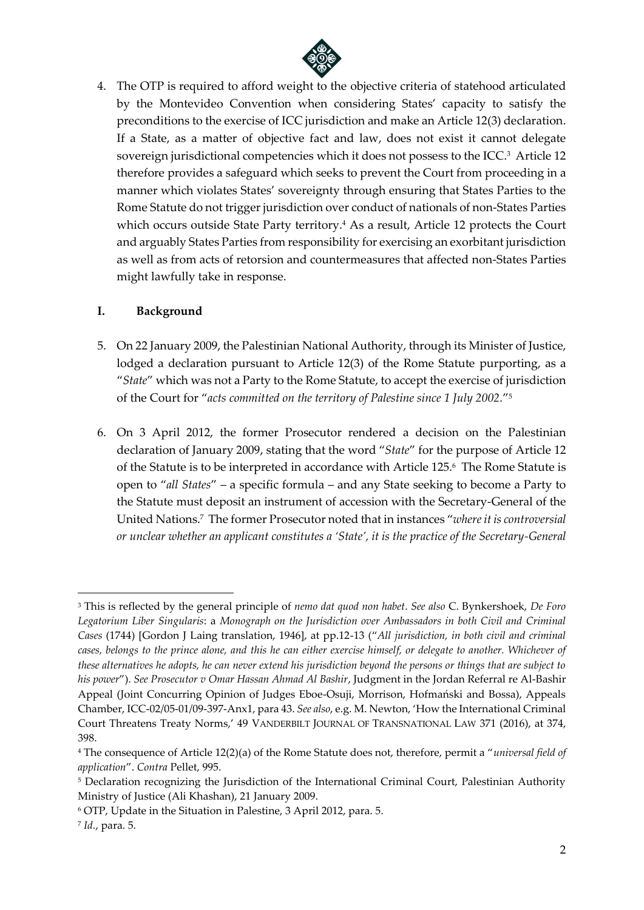

4. The OTP is required to afford weight to the objective criteria of statehood articulated by the Montevideo Convention when considering States' capacity to satisfy the preconditions to the exercise of ICC jurisdiction and make an Article 12(3) declaration. If a State, as a matter of objective fact and law, does not exist it cannot delegate sovereign jurisdictional competencies which it does not possess to the ICC. 3 Article 12 therefore provides a safeguard which seeks to prevent the Court from proceeding in a manner which violates States' sovereignty through ensuring that States Parties to the Rome Statute do not trigger jurisdiction over conduct of nationals of non-States Parties which occurs outside State Party territory. <sup>4</sup> As a result, Article 12 protects the Court and arguably States Parties from responsibility for exercising an exorbitant jurisdiction as well as from acts of retorsion and countermeasures that affected non-States Parties might lawfully take in response.

### **I. Background**

- 5. On 22 January 2009, the Palestinian National Authority, through its Minister of Justice, lodged a declaration pursuant to Article 12(3) of the Rome Statute purporting, as a "*State*" which was not a Party to the Rome Statute, to accept the exercise of jurisdiction of the Court for "*acts committed on the territory of Palestine since 1 July 2002.*" 5
- 6. On 3 April 2012, the former Prosecutor rendered a decision on the Palestinian declaration of January 2009, stating that the word "*State*" for the purpose of Article 12 of the Statute is to be interpreted in accordance with Article 125.<sup>6</sup> The Rome Statute is open to "*all States*" – a specific formula – and any State seeking to become a Party to the Statute must deposit an instrument of accession with the Secretary-General of the United Nations.<sup>7</sup> The former Prosecutor noted that in instances "*where it is controversial or unclear whether an applicant constitutes a 'State', it is the practice of the Secretary-General*

<sup>3</sup> This is reflected by the general principle of *nemo dat quod non habet*. *See also* C. Bynkershoek, *De Foro Legatorium Liber Singularis*: a *Monograph on the Jurisdiction over Ambassadors in both Civil and Criminal Cases* (1744) [Gordon J Laing translation, 1946], at pp.12-13 ("*All jurisdiction, in both civil and criminal cases, belongs to the prince alone, and this he can either exercise himself, or delegate to another. Whichever of these alternatives he adopts, he can never extend his jurisdiction beyond the persons or things that are subject to his power*"). *See Prosecutor v Omar Hassan Ahmad Al Bashir*, Judgment in the Jordan Referral re Al-Bashir Appeal (Joint Concurring Opinion of Judges Eboe-Osuji, Morrison, Hofmański and Bossa), Appeals Chamber, ICC-02/05-01/09-397-Anx1, para 43. *See also*, e.g. M. Newton, 'How the International Criminal Court Threatens Treaty Norms,' 49 VANDERBILT JOURNAL OF TRANSNATIONAL LAW 371 (2016), at 374, 398.

<sup>4</sup> The consequence of Article 12(2)(a) of the Rome Statute does not, therefore, permit a "*universal field of application*". *Contra* Pellet, 995.

<sup>5</sup> Declaration recognizing the Jurisdiction of the International Criminal Court, Palestinian Authority Ministry of Justice (Ali Khashan), 21 January 2009.

<sup>6</sup> OTP, Update in the Situation in Palestine, 3 April 2012, para. 5.

<sup>7</sup> *Id.*, para. 5.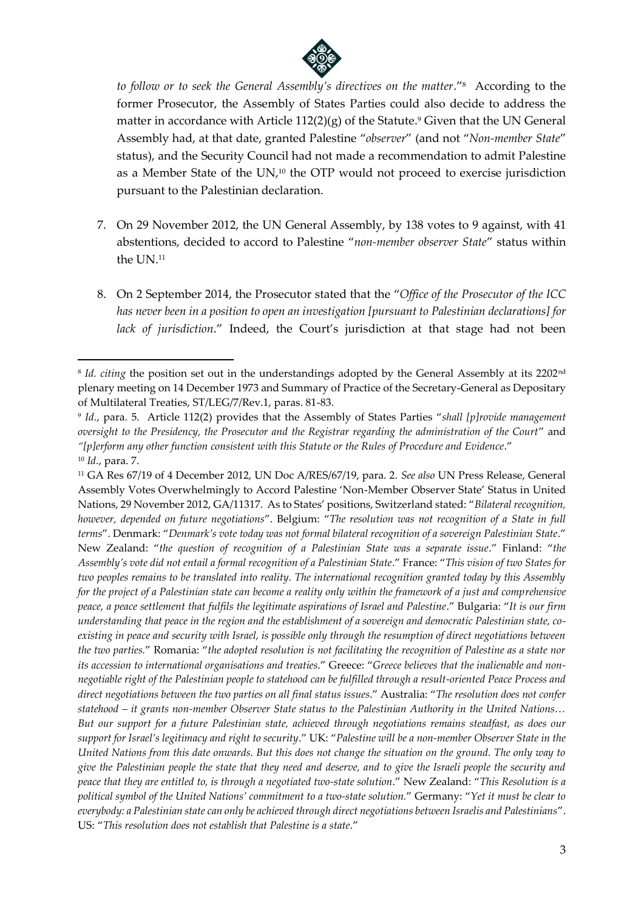

to follow or to seek the General Assembly's directives on the matter."<sup>8</sup> According to the former Prosecutor, the Assembly of States Parties could also decide to address the matter in accordance with Article  $112(2)(g)$  of the Statute.<sup>9</sup> Given that the UN General Assembly had, at that date, granted Palestine "*observer*" (and not "*Non-member State*" status), and the Security Council had not made a recommendation to admit Palestine as a Member State of the UN, <sup>10</sup> the OTP would not proceed to exercise jurisdiction pursuant to the Palestinian declaration.

- 7. On 29 November 2012, the UN General Assembly, by 138 votes to 9 against, with 41 abstentions, decided to accord to Palestine "*non-member observer State*" status within the UN. 11
- 8. On 2 September 2014, the Prosecutor stated that the "*Office of the Prosecutor of the ICC has never been in a position to open an investigation [pursuant to Palestinian declarations] for lack of jurisdiction*." Indeed, the Court's jurisdiction at that stage had not been

<sup>8</sup> *Id. citing* the position set out in the understandings adopted by the General Assembly at its 2202nd plenary meeting on 14 December 1973 and Summary of Practice of the Secretary-General as Depositary of Multilateral Treaties, ST/LEG/7/Rev.1, paras. 81-83.

<sup>9</sup> *Id.*, para. 5. Article 112(2) provides that the Assembly of States Parties "*shall [p]rovide management oversight to the Presidency, the Prosecutor and the Registrar regarding the administration of the Court*" and *"[p]erform any other function consistent with this Statute or the Rules of Procedure and Evidence*." <sup>10</sup> *Id.*, para. 7.

<sup>11</sup> GA Res 67/19 of 4 December 2012, UN Doc A/RES/67/19, para. 2. *See also* UN Press Release, General Assembly Votes Overwhelmingly to Accord Palestine 'Non-Member Observer State' Status in United Nations, 29 November 2012, GA/11317. As to States' positions, Switzerland stated: "*Bilateral recognition, however, depended on future negotiations*". Belgium: "*The resolution was not recognition of a State in full terms*". Denmark: "*Denmark's vote today was not formal bilateral recognition of a sovereign Palestinian State*." New Zealand: "*the question of recognition of a Palestinian State was a separate issue*." Finland: "*the Assembly's vote did not entail a formal recognition of a Palestinian State*." France: "*This vision of two States for two peoples remains to be translated into reality. The international recognition granted today by this Assembly for the project of a Palestinian state can become a reality only within the framework of a just and comprehensive peace, a peace settlement that fulfils the legitimate aspirations of Israel and Palestine*." Bulgaria: "*It is our firm understanding that peace in the region and the establishment of a sovereign and democratic Palestinian state, coexisting in peace and security with Israel, is possible only through the resumption of direct negotiations between the two parties.*" Romania: "*the adopted resolution is not facilitating the recognition of Palestine as a state nor its accession to international organisations and treaties*." Greece: "*Greece believes that the inalienable and nonnegotiable right of the Palestinian people to statehood can be fulfilled through a result-oriented Peace Process and direct negotiations between the two parties on all final status issues*." Australia: "*The resolution does not confer statehood – it grants non-member Observer State status to the Palestinian Authority in the United Nations… But our support for a future Palestinian state, achieved through negotiations remains steadfast, as does our support for Israel's legitimacy and right to security*." UK: "*Palestine will be a non-member Observer State in the United Nations from this date onwards. But this does not change the situation on the ground. The only way to give the Palestinian people the state that they need and deserve, and to give the Israeli people the security and peace that they are entitled to, is through a negotiated two-state solution*." New Zealand: "*This Resolution is a political symbol of the United Nations' commitment to a two-state solution.*" Germany: "*Yet it must be clear to everybody: a Palestinian state can only be achieved through direct negotiations between Israelis and Palestinians*". US: "*This resolution does not establish that Palestine is a state*."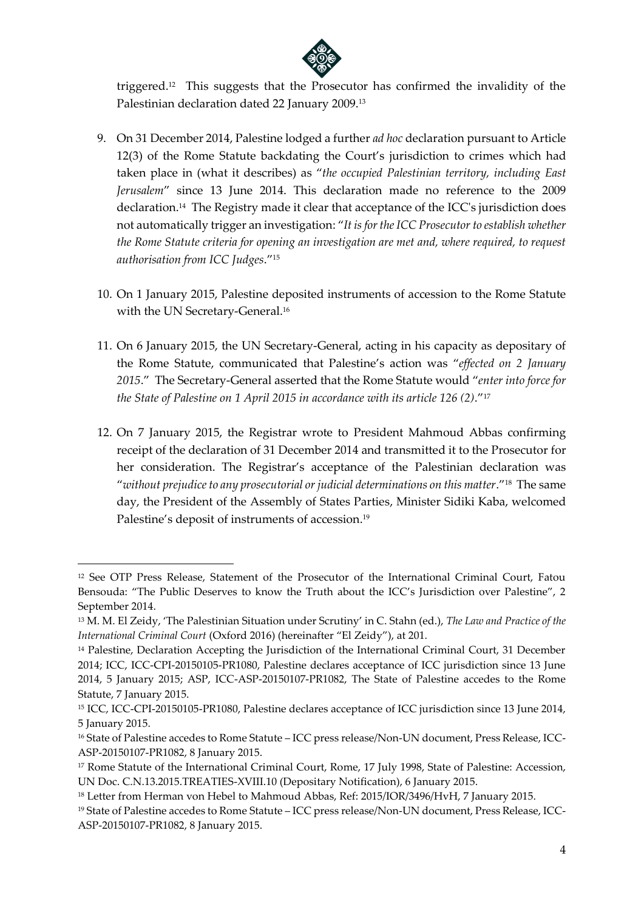

triggered.<sup>12</sup> This suggests that the Prosecutor has confirmed the invalidity of the Palestinian declaration dated 22 January 2009.<sup>13</sup>

- 9. On 31 December 2014, Palestine lodged a further *ad hoc* declaration pursuant to Article 12(3) of the Rome Statute backdating the Court's jurisdiction to crimes which had taken place in (what it describes) as "*the occupied Palestinian territory, including East Jerusalem*" since 13 June 2014. This declaration made no reference to the 2009 declaration.<sup>14</sup> The Registry made it clear that acceptance of the ICC's jurisdiction does not automatically trigger an investigation: "*It is for the ICC Prosecutor to establish whether the Rome Statute criteria for opening an investigation are met and, where required, to request authorisation from ICC Judges*."<sup>15</sup>
- 10. On 1 January 2015, Palestine deposited instruments of accession to the Rome Statute with the UN Secretary-General.<sup>16</sup>
- 11. On 6 January 2015, the UN Secretary-General, acting in his capacity as depositary of the Rome Statute, communicated that Palestine's action was "*effected on 2 January 2015*." The Secretary-General asserted that the Rome Statute would "*enter into force for the State of Palestine on 1 April 2015 in accordance with its article 126 (2)*."<sup>17</sup>
- 12. On 7 January 2015, the Registrar wrote to President Mahmoud Abbas confirming receipt of the declaration of 31 December 2014 and transmitted it to the Prosecutor for her consideration. The Registrar's acceptance of the Palestinian declaration was "*without prejudice to any prosecutorial or judicial determinations on this matter*."<sup>18</sup> The same day, the President of the Assembly of States Parties, Minister Sidiki Kaba, welcomed Palestine's deposit of instruments of accession.<sup>19</sup>

<sup>&</sup>lt;sup>12</sup> See OTP Press Release, Statement of the Prosecutor of the International Criminal Court, Fatou Bensouda: "The Public Deserves to know the Truth about the ICC's Jurisdiction over Palestine", 2 September 2014.

<sup>13</sup> M. M. El Zeidy, 'The Palestinian Situation under Scrutiny' in C. Stahn (ed.), *The Law and Practice of the International Criminal Court* (Oxford 2016) (hereinafter "El Zeidy"), at 201.

<sup>&</sup>lt;sup>14</sup> Palestine, Declaration Accepting the Jurisdiction of the International Criminal Court, 31 December 2014; ICC, ICC-CPI-20150105-PR1080, Palestine declares acceptance of ICC jurisdiction since 13 June 2014, 5 January 2015; ASP, ICC-ASP-20150107-PR1082, The State of Palestine accedes to the Rome Statute, 7 January 2015.

<sup>15</sup> ICC, ICC-CPI-20150105-PR1080, Palestine declares acceptance of ICC jurisdiction since 13 June 2014, 5 January 2015.

<sup>16</sup> State of Palestine accedes to Rome Statute – ICC press release/Non-UN document, Press Release, ICC-ASP-20150107-PR1082, 8 January 2015.

<sup>17</sup> Rome Statute of the International Criminal Court, Rome, 17 July 1998, State of Palestine: Accession, UN Doc. C.N.13.2015.TREATIES-XVIII.10 (Depositary Notification), 6 January 2015.

<sup>18</sup> Letter from Herman von Hebel to Mahmoud Abbas, Ref: 2015/IOR/3496/HvH, 7 January 2015.

<sup>19</sup> State of Palestine accedes to Rome Statute – ICC press release/Non-UN document, Press Release, ICC-ASP-20150107-PR1082, 8 January 2015.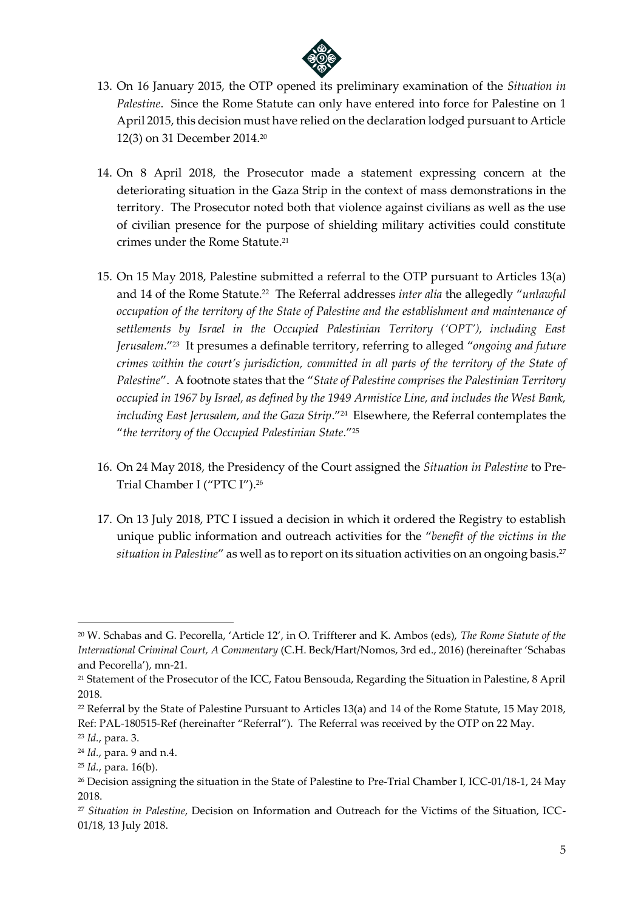

- 13. On 16 January 2015, the OTP opened its preliminary examination of the *Situation in Palestine*. Since the Rome Statute can only have entered into force for Palestine on 1 April 2015, this decision must have relied on the declaration lodged pursuant to Article 12(3) on 31 December 2014. 20
- 14. On 8 April 2018, the Prosecutor made a statement expressing concern at the deteriorating situation in the Gaza Strip in the context of mass demonstrations in the territory. The Prosecutor noted both that violence against civilians as well as the use of civilian presence for the purpose of shielding military activities could constitute crimes under the Rome Statute.<sup>21</sup>
- 15. On 15 May 2018, Palestine submitted a referral to the OTP pursuant to Articles 13(a) and 14 of the Rome Statute.<sup>22</sup> The Referral addresses *inter alia* the allegedly "*unlawful occupation of the territory of the State of Palestine and the establishment and maintenance of settlements by Israel in the Occupied Palestinian Territory ('OPT'), including East Jerusalem*."<sup>23</sup> It presumes a definable territory, referring to alleged "*ongoing and future crimes within the court's jurisdiction, committed in all parts of the territory of the State of Palestine*". A footnote states that the "*State of Palestine comprises the Palestinian Territory occupied in 1967 by Israel, as defined by the 1949 Armistice Line, and includes the West Bank, including East Jerusalem, and the Gaza Strip*."<sup>24</sup> Elsewhere, the Referral contemplates the "*the territory of the Occupied Palestinian State.*" 25
- 16. On 24 May 2018, the Presidency of the Court assigned the *Situation in Palestine* to Pre-Trial Chamber I ("PTC I").<sup>26</sup>
- 17. On 13 July 2018, PTC I issued a decision in which it ordered the Registry to establish unique public information and outreach activities for the "*benefit of the victims in the situation in Palestine"* as well as to report on its situation activities on an ongoing basis.<sup>27</sup>

<sup>20</sup> W. Schabas and G. Pecorella, 'Article 12', in O. Triffterer and K. Ambos (eds), *The Rome Statute of the International Criminal Court, A Commentary* (C.H. Beck/Hart/Nomos, 3rd ed., 2016) (hereinafter 'Schabas and Pecorella'), mn-21.

<sup>21</sup> Statement of the Prosecutor of the ICC, Fatou Bensouda, Regarding the Situation in Palestine, 8 April 2018.

<sup>&</sup>lt;sup>22</sup> Referral by the State of Palestine Pursuant to Articles 13(a) and 14 of the Rome Statute, 15 May 2018, Ref: PAL-180515-Ref (hereinafter "Referral"). The Referral was received by the OTP on 22 May.

<sup>23</sup> *Id.*, para. 3.

<sup>24</sup> *Id.*, para. 9 and n.4.

<sup>25</sup> *Id.*, para. 16(b).

<sup>&</sup>lt;sup>26</sup> Decision assigning the situation in the State of Palestine to Pre-Trial Chamber I, ICC-01/18-1, 24 May 2018.

<sup>27</sup> *Situation in Palestine*, Decision on Information and Outreach for the Victims of the Situation, ICC-01/18, 13 July 2018.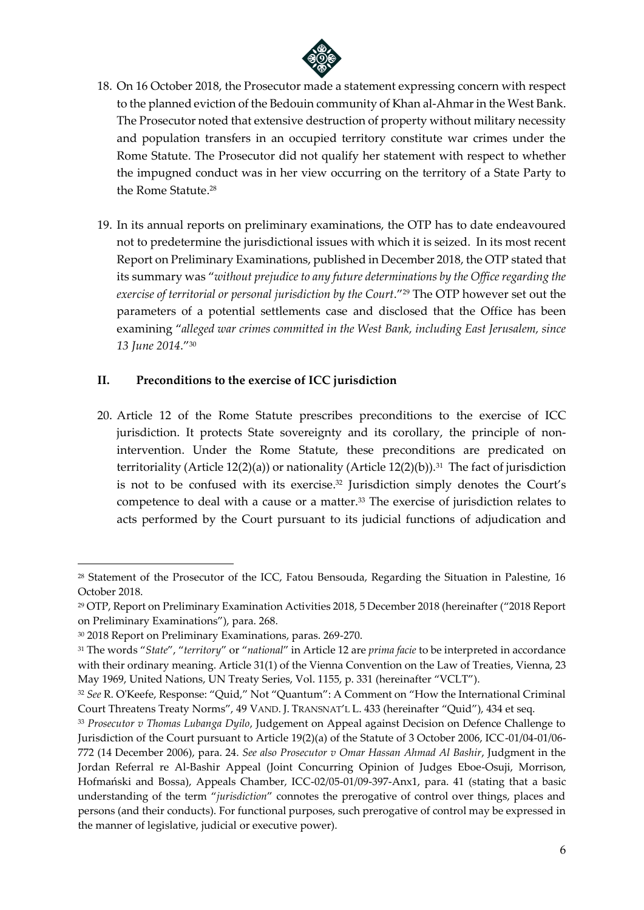

- 18. On 16 October 2018, the Prosecutor made a statement expressing concern with respect to the planned eviction of the Bedouin community of Khan al-Ahmar in the West Bank. The Prosecutor noted that extensive destruction of property without military necessity and population transfers in an occupied territory constitute war crimes under the Rome Statute. The Prosecutor did not qualify her statement with respect to whether the impugned conduct was in her view occurring on the territory of a State Party to the Rome Statute.<sup>28</sup>
- 19. In its annual reports on preliminary examinations, the OTP has to date endeavoured not to predetermine the jurisdictional issues with which it is seized. In its most recent Report on Preliminary Examinations, published in December 2018, the OTP stated that its summary was "*without prejudice to any future determinations by the Office regarding the exercise of territorial or personal jurisdiction by the Court*."<sup>29</sup> The OTP however set out the parameters of a potential settlements case and disclosed that the Office has been examining "*alleged war crimes committed in the West Bank, including East Jerusalem, since 13 June 2014*." 30

### **II. Preconditions to the exercise of ICC jurisdiction**

20. Article 12 of the Rome Statute prescribes preconditions to the exercise of ICC jurisdiction. It protects State sovereignty and its corollary, the principle of nonintervention. Under the Rome Statute, these preconditions are predicated on territoriality (Article 12(2)(a)) or nationality (Article 12(2)(b)).<sup>31</sup> The fact of jurisdiction is not to be confused with its exercise. <sup>32</sup> Jurisdiction simply denotes the Court's competence to deal with a cause or a matter.<sup>33</sup> The exercise of jurisdiction relates to acts performed by the Court pursuant to its judicial functions of adjudication and

<sup>&</sup>lt;sup>28</sup> Statement of the Prosecutor of the ICC, Fatou Bensouda, Regarding the Situation in Palestine, 16 October 2018.

<sup>29</sup> OTP, Report on Preliminary Examination Activities 2018, 5 December 2018 (hereinafter ("2018 Report on Preliminary Examinations"), para. 268.

<sup>30</sup> 2018 Report on Preliminary Examinations, paras. 269-270.

<sup>31</sup> The words "*State*", "*territory*" or "*national*" in Article 12 are *prima facie* to be interpreted in accordance with their ordinary meaning. Article 31(1) of the Vienna Convention on the Law of Treaties, Vienna, 23 May 1969, United Nations, UN Treaty Series, Vol. 1155, p. 331 (hereinafter "VCLT").

<sup>32</sup> *See* R. O'Keefe, Response: "Quid," Not "Quantum": A Comment on "How the International Criminal Court Threatens Treaty Norms", 49 VAND. J. TRANSNAT'L L. 433 (hereinafter "Quid"), 434 et seq.

<sup>33</sup> *Prosecutor v Thomas Lubanga Dyilo*, Judgement on Appeal against Decision on Defence Challenge to Jurisdiction of the Court pursuant to Article 19(2)(a) of the Statute of 3 October 2006, ICC-01/04-01/06- 772 (14 December 2006), para. 24. *See also Prosecutor v Omar Hassan Ahmad Al Bashir*, Judgment in the Jordan Referral re Al-Bashir Appeal (Joint Concurring Opinion of Judges Eboe-Osuji, Morrison, Hofmański and Bossa), Appeals Chamber, ICC-02/05-01/09-397-Anx1, para. 41 (stating that a basic understanding of the term "*jurisdiction*" connotes the prerogative of control over things, places and persons (and their conducts). For functional purposes, such prerogative of control may be expressed in the manner of legislative, judicial or executive power).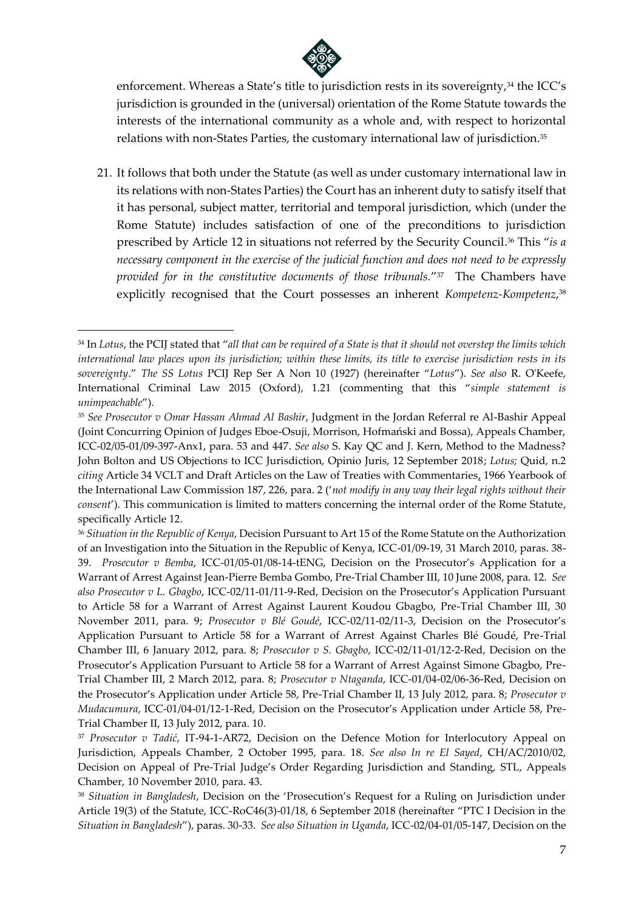

enforcement. Whereas a State's title to jurisdiction rests in its sovereignty,<sup>34</sup> the ICC's jurisdiction is grounded in the (universal) orientation of the Rome Statute towards the interests of the international community as a whole and, with respect to horizontal relations with non-States Parties, the customary international law of jurisdiction.<sup>35</sup>

21. It follows that both under the Statute (as well as under customary international law in its relations with non-States Parties) the Court has an inherent duty to satisfy itself that it has personal, subject matter, territorial and temporal jurisdiction, which (under the Rome Statute) includes satisfaction of one of the preconditions to jurisdiction prescribed by Article 12 in situations not referred by the Security Council. <sup>36</sup> This "*is a necessary component in the exercise of the judicial function and does not need to be expressly provided for in the constitutive documents of those tribunals.*" 37 The Chambers have explicitly recognised that the Court possesses an inherent *Kompetenz-Kompetenz*, 38

<sup>34</sup> In *Lotus*, the PCIJ stated that "*all that can be required of a State is that it should not overstep the limits which international law places upon its jurisdiction; within these limits, its title to exercise jurisdiction rests in its sovereignty*." *The SS Lotus* PCIJ Rep Ser A Non 10 (1927) (hereinafter "*Lotus*"). *See also* R. O'Keefe, International Criminal Law 2015 (Oxford), 1.21 (commenting that this "*simple statement is unimpeachable*").

<sup>35</sup> *See Prosecutor v Omar Hassan Ahmad Al Bashir*, Judgment in the Jordan Referral re Al-Bashir Appeal (Joint Concurring Opinion of Judges Eboe-Osuji, Morrison, Hofmański and Bossa), Appeals Chamber, ICC-02/05-01/09-397-Anx1, para. 53 and 447. *See also* S. Kay QC and J. Kern, Method to the Madness? John Bolton and US Objections to ICC Jurisdiction, Opinio Juris, 12 September 2018; *Lotus;* Quid, n.2 *citing* Article 34 VCLT and Draft Articles on the Law of Treaties with Commentaries, 1966 Yearbook of the International Law Commission 187, 226, para. 2 ('*not modify in any way their legal rights without their consent*'). This communication is limited to matters concerning the internal order of the Rome Statute, specifically Article 12.

<sup>36</sup> *Situation in the Republic of Kenya*, Decision Pursuant to Art 15 of the Rome Statute on the Authorization of an Investigation into the Situation in the Republic of Kenya, ICC-01/09-19, 31 March 2010, paras. 38- 39. *Prosecutor v Bemba*, ICC-01/05-01/08-14-tENG, Decision on the Prosecutor's Application for a Warrant of Arrest Against Jean-Pierre Bemba Gombo, Pre-Trial Chamber III, 10 June 2008, para. 12. *See also Prosecutor v L. Gbagbo*, ICC-02/11-01/11-9-Red, Decision on the Prosecutor's Application Pursuant to Article 58 for a Warrant of Arrest Against Laurent Koudou Gbagbo, Pre-Trial Chamber III, 30 November 2011, para. 9; *Prosecutor v Blé Goudé*, ICC-02/11-02/11-3, Decision on the Prosecutor's Application Pursuant to Article 58 for a Warrant of Arrest Against Charles Blé Goudé, Pre-Trial Chamber III, 6 January 2012, para. 8; *Prosecutor v S. Gbagbo*, ICC-02/11-01/12-2-Red, Decision on the Prosecutor's Application Pursuant to Article 58 for a Warrant of Arrest Against Simone Gbagbo, Pre-Trial Chamber III, 2 March 2012, para. 8; *Prosecutor v Ntaganda*, ICC-01/04-02/06-36-Red, Decision on the Prosecutor's Application under Article 58, Pre-Trial Chamber II, 13 July 2012, para. 8; *Prosecutor v Mudacumura*, ICC-01/04-01/12-1-Red, Decision on the Prosecutor's Application under Article 58, Pre-Trial Chamber II, 13 July 2012, para. 10.

<sup>37</sup> *Prosecutor v Tadić*, IT-94-1-AR72, Decision on the Defence Motion for Interlocutory Appeal on Jurisdiction, Appeals Chamber, 2 October 1995, para. 18. *See also In re El Sayed*, CH/AC/2010/02, Decision on Appeal of Pre-Trial Judge's Order Regarding Jurisdiction and Standing, STL, Appeals Chamber, 10 November 2010, para. 43.

<sup>38</sup> *Situation in Bangladesh*, Decision on the 'Prosecution's Request for a Ruling on Jurisdiction under Article 19(3) of the Statute, ICC-RoC46(3)-01/18, 6 September 2018 (hereinafter "PTC I Decision in the *Situation in Bangladesh*"), paras. 30-33. *See also Situation in Uganda*, ICC-02/04-01/05-147, Decision on the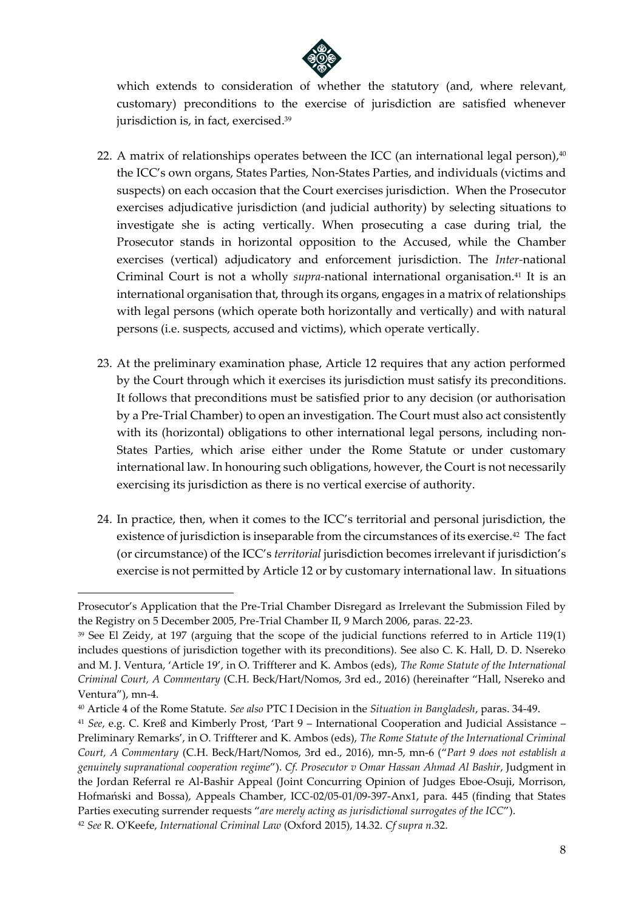

which extends to consideration of whether the statutory (and, where relevant, customary) preconditions to the exercise of jurisdiction are satisfied whenever jurisdiction is, in fact, exercised.<sup>39</sup>

- 22. A matrix of relationships operates between the ICC (an international legal person), $40$ the ICC's own organs, States Parties, Non-States Parties, and individuals (victims and suspects) on each occasion that the Court exercises jurisdiction. When the Prosecutor exercises adjudicative jurisdiction (and judicial authority) by selecting situations to investigate she is acting vertically. When prosecuting a case during trial, the Prosecutor stands in horizontal opposition to the Accused, while the Chamber exercises (vertical) adjudicatory and enforcement jurisdiction. The *Inter-*national Criminal Court is not a wholly *supra*-national international organisation.<sup>41</sup> It is an international organisation that, through its organs, engages in a matrix of relationships with legal persons (which operate both horizontally and vertically) and with natural persons (i.e. suspects, accused and victims), which operate vertically.
- 23. At the preliminary examination phase, Article 12 requires that any action performed by the Court through which it exercises its jurisdiction must satisfy its preconditions. It follows that preconditions must be satisfied prior to any decision (or authorisation by a Pre-Trial Chamber) to open an investigation. The Court must also act consistently with its (horizontal) obligations to other international legal persons, including non-States Parties, which arise either under the Rome Statute or under customary international law. In honouring such obligations, however, the Court is not necessarily exercising its jurisdiction as there is no vertical exercise of authority.
- 24. In practice, then, when it comes to the ICC's territorial and personal jurisdiction, the existence of jurisdiction is inseparable from the circumstances of its exercise.<sup>42</sup> The fact (or circumstance) of the ICC's *territorial* jurisdiction becomes irrelevant if jurisdiction's exercise is not permitted by Article 12 or by customary international law. In situations

Prosecutor's Application that the Pre-Trial Chamber Disregard as Irrelevant the Submission Filed by the Registry on 5 December 2005, Pre-Trial Chamber II, 9 March 2006, paras. 22-23.

<sup>39</sup> See El Zeidy, at 197 (arguing that the scope of the judicial functions referred to in Article 119(1) includes questions of jurisdiction together with its preconditions). See also C. K. Hall, D. D. Nsereko and M. J. Ventura, 'Article 19', in O. Triffterer and K. Ambos (eds), *The Rome Statute of the International Criminal Court, A Commentary* (C.H. Beck/Hart/Nomos, 3rd ed., 2016) (hereinafter "Hall, Nsereko and Ventura"), mn-4.

<sup>40</sup> Article 4 of the Rome Statute. *See also* PTC I Decision in the *Situation in Bangladesh*, paras. 34-49.

<sup>41</sup> *See*, e.g. C. Kreß and Kimberly Prost, 'Part 9 – International Cooperation and Judicial Assistance – Preliminary Remarks', in O. Triffterer and K. Ambos (eds), *The Rome Statute of the International Criminal Court, A Commentary* (C.H. Beck/Hart/Nomos, 3rd ed., 2016), mn-5, mn-6 ("*Part 9 does not establish a genuinely supranational cooperation regime*"). *Cf. Prosecutor v Omar Hassan Ahmad Al Bashir*, Judgment in the Jordan Referral re Al-Bashir Appeal (Joint Concurring Opinion of Judges Eboe-Osuji, Morrison, Hofmański and Bossa), Appeals Chamber, ICC-02/05-01/09-397-Anx1, para. 445 (finding that States Parties executing surrender requests "*are merely acting as jurisdictional surrogates of the ICC*").

<sup>42</sup> *See* R. O'Keefe, *International Criminal Law* (Oxford 2015), 14.32. *Cf supra n.*32.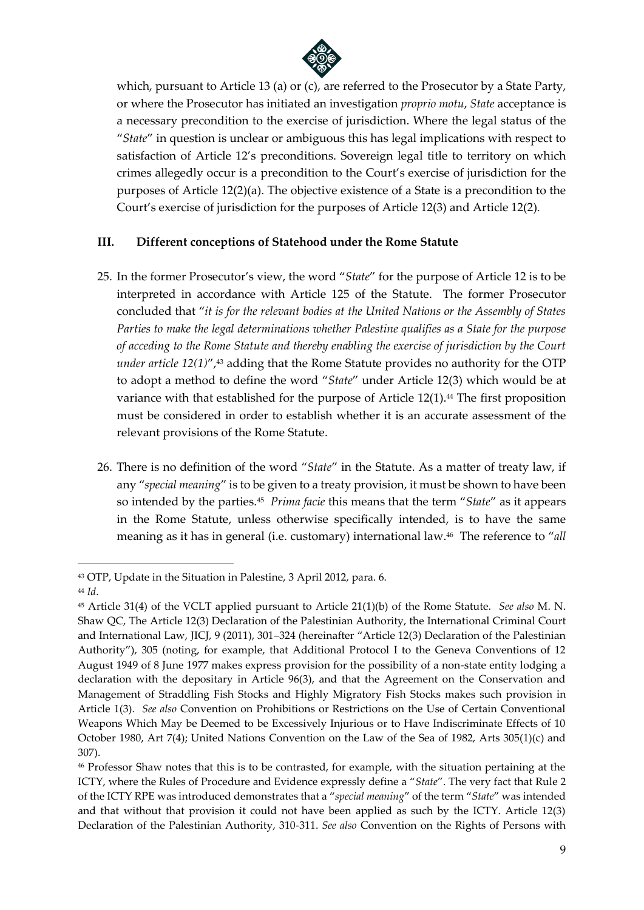

which, pursuant to Article 13 (a) or (c), are referred to the Prosecutor by a State Party, or where the Prosecutor has initiated an investigation *proprio motu*, *State* acceptance is a necessary precondition to the exercise of jurisdiction. Where the legal status of the "*State*" in question is unclear or ambiguous this has legal implications with respect to satisfaction of Article 12's preconditions. Sovereign legal title to territory on which crimes allegedly occur is a precondition to the Court's exercise of jurisdiction for the purposes of Article 12(2)(a). The objective existence of a State is a precondition to the Court's exercise of jurisdiction for the purposes of Article 12(3) and Article 12(2).

### **III. Different conceptions of Statehood under the Rome Statute**

- 25. In the former Prosecutor's view, the word "*State*" for the purpose of Article 12 is to be interpreted in accordance with Article 125 of the Statute. The former Prosecutor concluded that "*it is for the relevant bodies at the United Nations or the Assembly of States Parties to make the legal determinations whether Palestine qualifies as a State for the purpose of acceding to the Rome Statute and thereby enabling the exercise of jurisdiction by the Court under article 12(1)*", <sup>43</sup> adding that the Rome Statute provides no authority for the OTP to adopt a method to define the word "*State*" under Article 12(3) which would be at variance with that established for the purpose of Article 12(1).<sup>44</sup> The first proposition must be considered in order to establish whether it is an accurate assessment of the relevant provisions of the Rome Statute.
- 26. There is no definition of the word "*State*" in the Statute. As a matter of treaty law, if any "*special meaning*" is to be given to a treaty provision, it must be shown to have been so intended by the parties.<sup>45</sup> *Prima facie* this means that the term "*State*" as it appears in the Rome Statute, unless otherwise specifically intended, is to have the same meaning as it has in general (i.e. customary) international law.<sup>46</sup> The reference to "*all*

<sup>43</sup> OTP, Update in the Situation in Palestine, 3 April 2012, para. 6.

<sup>44</sup> *Id*.

<sup>45</sup> Article 31(4) of the VCLT applied pursuant to Article 21(1)(b) of the Rome Statute. *See also* M. N. Shaw QC, The Article 12(3) Declaration of the Palestinian Authority, the International Criminal Court and International Law, JICJ, 9 (2011), 301–324 (hereinafter "Article 12(3) Declaration of the Palestinian Authority"), 305 (noting, for example, that Additional Protocol I to the Geneva Conventions of 12 August 1949 of 8 June 1977 makes express provision for the possibility of a non-state entity lodging a declaration with the depositary in Article 96(3), and that the Agreement on the Conservation and Management of Straddling Fish Stocks and Highly Migratory Fish Stocks makes such provision in Article 1(3). *See also* Convention on Prohibitions or Restrictions on the Use of Certain Conventional Weapons Which May be Deemed to be Excessively Injurious or to Have Indiscriminate Effects of 10 October 1980, Art 7(4); United Nations Convention on the Law of the Sea of 1982, Arts 305(1)(c) and 307).

<sup>46</sup> Professor Shaw notes that this is to be contrasted, for example, with the situation pertaining at the ICTY, where the Rules of Procedure and Evidence expressly define a "*State*". The very fact that Rule 2 of the ICTY RPE was introduced demonstrates that a "*special meaning*" of the term "*State*" was intended and that without that provision it could not have been applied as such by the ICTY. Article 12(3) Declaration of the Palestinian Authority, 310-311. *See also* Convention on the Rights of Persons with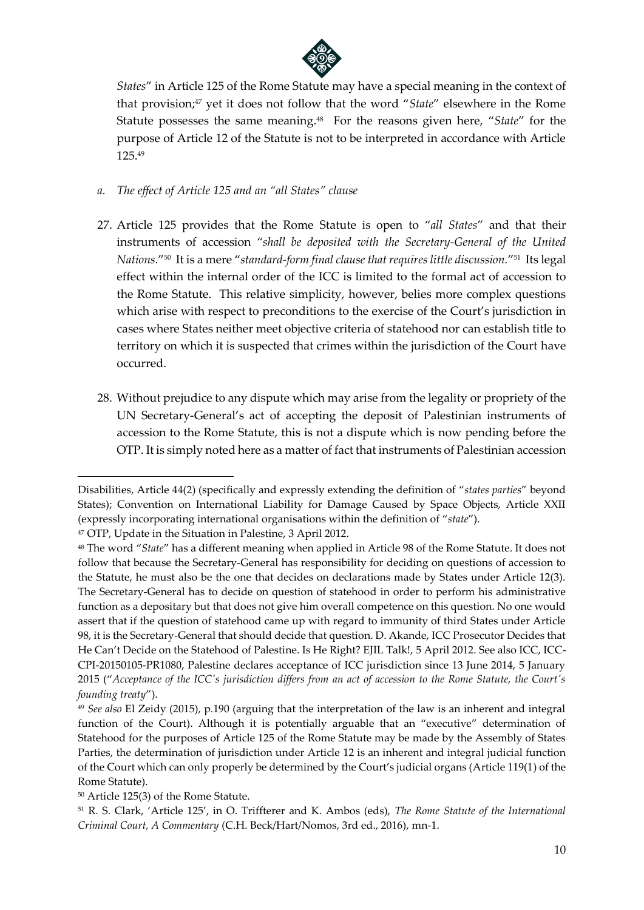

*States*" in Article 125 of the Rome Statute may have a special meaning in the context of that provision; <sup>47</sup> yet it does not follow that the word "*State*" elsewhere in the Rome Statute possesses the same meaning.<sup>48</sup> For the reasons given here, "*State*" for the purpose of Article 12 of the Statute is not to be interpreted in accordance with Article 125.<sup>49</sup>

- *a. The effect of Article 125 and an "all States" clause*
- 27. Article 125 provides that the Rome Statute is open to "*all States*" and that their instruments of accession "*shall be deposited with the Secretary-General of the United Nations*."<sup>50</sup> It is a mere "*standard-form final clause that requires little discussion.*" 51 Its legal effect within the internal order of the ICC is limited to the formal act of accession to the Rome Statute. This relative simplicity, however, belies more complex questions which arise with respect to preconditions to the exercise of the Court's jurisdiction in cases where States neither meet objective criteria of statehood nor can establish title to territory on which it is suspected that crimes within the jurisdiction of the Court have occurred.
- 28. Without prejudice to any dispute which may arise from the legality or propriety of the UN Secretary-General's act of accepting the deposit of Palestinian instruments of accession to the Rome Statute, this is not a dispute which is now pending before the OTP. It is simply noted here as a matter of fact that instruments of Palestinian accession

**.** 

<sup>50</sup> Article 125(3) of the Rome Statute.

Disabilities, Article 44(2) (specifically and expressly extending the definition of "*states parties*" beyond States); Convention on International Liability for Damage Caused by Space Objects, Article XXII (expressly incorporating international organisations within the definition of "*state*").

<sup>47</sup> OTP, Update in the Situation in Palestine, 3 April 2012.

<sup>48</sup> The word "*State*" has a different meaning when applied in Article 98 of the Rome Statute. It does not follow that because the Secretary-General has responsibility for deciding on questions of accession to the Statute, he must also be the one that decides on declarations made by States under Article 12(3). The Secretary-General has to decide on question of statehood in order to perform his administrative function as a depositary but that does not give him overall competence on this question. No one would assert that if the question of statehood came up with regard to immunity of third States under Article 98, it is the Secretary-General that should decide that question. D. Akande, ICC Prosecutor Decides that He Can't Decide on the Statehood of Palestine. Is He Right? EJIL Talk!, 5 April 2012. See also ICC, ICC-CPI-20150105-PR1080, Palestine declares acceptance of ICC jurisdiction since 13 June 2014, 5 January 2015 ("*Acceptance of the ICC's jurisdiction differs from an act of accession to the Rome Statute, the Court's founding treaty*").

<sup>49</sup> *See also* El Zeidy (2015), p.190 (arguing that the interpretation of the law is an inherent and integral function of the Court). Although it is potentially arguable that an "executive" determination of Statehood for the purposes of Article 125 of the Rome Statute may be made by the Assembly of States Parties, the determination of jurisdiction under Article 12 is an inherent and integral judicial function of the Court which can only properly be determined by the Court's judicial organs (Article 119(1) of the Rome Statute).

<sup>51</sup> R. S. Clark, 'Article 125', in O. Triffterer and K. Ambos (eds), *The Rome Statute of the International Criminal Court, A Commentary* (C.H. Beck/Hart/Nomos, 3rd ed., 2016), mn-1.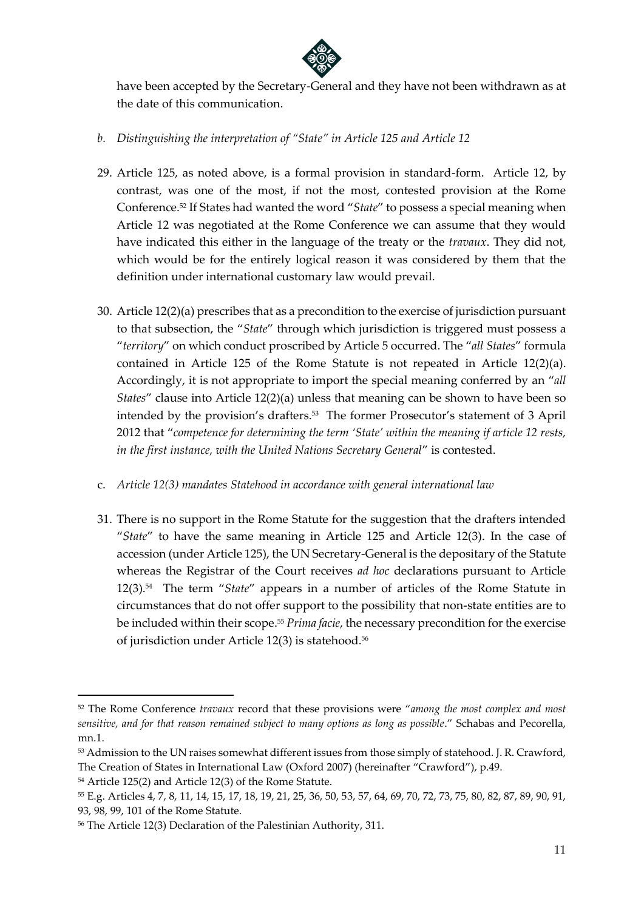

have been accepted by the Secretary-General and they have not been withdrawn as at the date of this communication.

- *b. Distinguishing the interpretation of "State" in Article 125 and Article 12*
- 29. Article 125, as noted above, is a formal provision in standard-form. Article 12, by contrast, was one of the most, if not the most, contested provision at the Rome Conference.<sup>52</sup> If States had wanted the word "*State*" to possess a special meaning when Article 12 was negotiated at the Rome Conference we can assume that they would have indicated this either in the language of the treaty or the *travaux*. They did not, which would be for the entirely logical reason it was considered by them that the definition under international customary law would prevail.
- 30. Article 12(2)(a) prescribes that as a precondition to the exercise of jurisdiction pursuant to that subsection, the "*State*" through which jurisdiction is triggered must possess a "*territory*" on which conduct proscribed by Article 5 occurred. The "*all States*" formula contained in Article 125 of the Rome Statute is not repeated in Article  $12(2)(a)$ . Accordingly, it is not appropriate to import the special meaning conferred by an "*all States*" clause into Article 12(2)(a) unless that meaning can be shown to have been so intended by the provision's drafters.<sup>53</sup> The former Prosecutor's statement of 3 April 2012 that "*competence for determining the term 'State' within the meaning if article 12 rests, in the first instance, with the United Nations Secretary General*" is contested.
- c. *Article 12(3) mandates Statehood in accordance with general international law*
- 31. There is no support in the Rome Statute for the suggestion that the drafters intended "*State*" to have the same meaning in Article 125 and Article 12(3). In the case of accession (under Article 125), the UN Secretary-General is the depositary of the Statute whereas the Registrar of the Court receives *ad hoc* declarations pursuant to Article 12(3).<sup>54</sup> The term "*State*" appears in a number of articles of the Rome Statute in circumstances that do not offer support to the possibility that non-state entities are to be included within their scope. <sup>55</sup> *Prima facie*, the necessary precondition for the exercise of jurisdiction under Article 12(3) is statehood.<sup>56</sup>

<sup>52</sup> The Rome Conference *travaux* record that these provisions were "*among the most complex and most sensitive, and for that reason remained subject to many options as long as possible*." Schabas and Pecorella, mn.1.

<sup>53</sup> Admission to the UN raises somewhat different issues from those simply of statehood. J. R. Crawford, The Creation of States in International Law (Oxford 2007) (hereinafter "Crawford"), p.49.

<sup>54</sup> Article 125(2) and Article 12(3) of the Rome Statute.

<sup>55</sup> E.g. Articles 4, 7, 8, 11, 14, 15, 17, 18, 19, 21, 25, 36, 50, 53, 57, 64, 69, 70, 72, 73, 75, 80, 82, 87, 89, 90, 91, 93, 98, 99, 101 of the Rome Statute.

<sup>56</sup> The Article 12(3) Declaration of the Palestinian Authority, 311.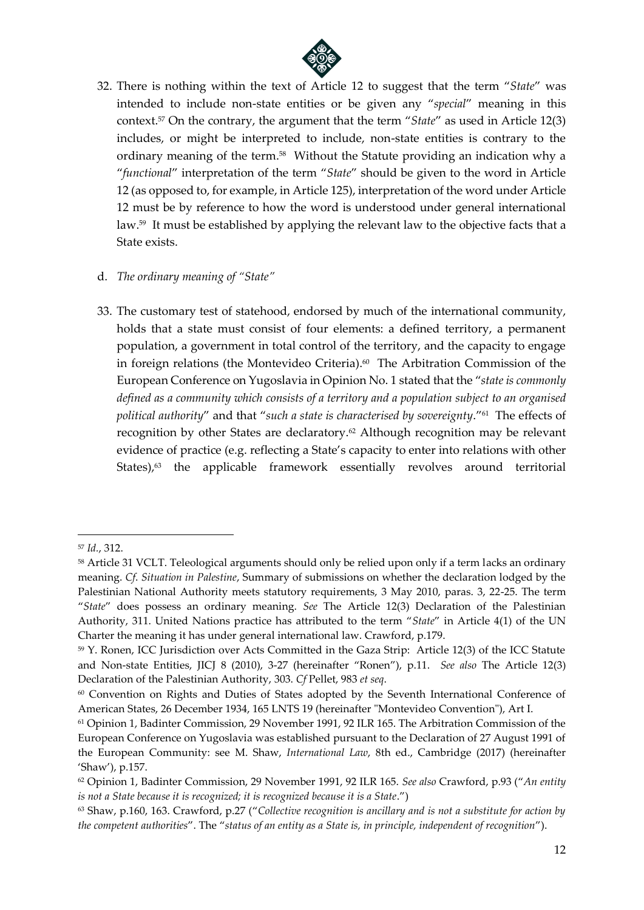

32. There is nothing within the text of Article 12 to suggest that the term "*State*" was intended to include non-state entities or be given any "*special*" meaning in this context.<sup>57</sup> On the contrary, the argument that the term "*State*" as used in Article 12(3) includes, or might be interpreted to include, non-state entities is contrary to the ordinary meaning of the term.<sup>58</sup> Without the Statute providing an indication why a "*functional*" interpretation of the term "*State*" should be given to the word in Article 12 (as opposed to, for example, in Article 125), interpretation of the word under Article 12 must be by reference to how the word is understood under general international law. 59 It must be established by applying the relevant law to the objective facts that a State exists.

#### d. *The ordinary meaning of "State"*

33. The customary test of statehood, endorsed by much of the international community, holds that a state must consist of four elements: a defined territory, a permanent population, a government in total control of the territory, and the capacity to engage in foreign relations (the Montevideo Criteria). 60 The Arbitration Commission of the European Conference on Yugoslavia in Opinion No. 1 stated that the "*state is commonly defined as a community which consists of a territory and a population subject to an organised political authority*" and that "*such a state is characterised by sovereignty*."<sup>61</sup> The effects of recognition by other States are declaratory.<sup>62</sup> Although recognition may be relevant evidence of practice (e.g. reflecting a State's capacity to enter into relations with other States),<sup>63</sup> the applicable framework essentially revolves around territorial

<sup>57</sup> *Id.*, 312.

<sup>&</sup>lt;sup>58</sup> Article 31 VCLT. Teleological arguments should only be relied upon only if a term lacks an ordinary meaning. *Cf*. *Situation in Palestine*, Summary of submissions on whether the declaration lodged by the Palestinian National Authority meets statutory requirements, 3 May 2010, paras. 3, 22-25. The term "*State*" does possess an ordinary meaning. *See* The Article 12(3) Declaration of the Palestinian Authority, 311. United Nations practice has attributed to the term "*State*" in Article 4(1) of the UN Charter the meaning it has under general international law. Crawford, p.179.

<sup>59</sup> Y. Ronen, ICC Jurisdiction over Acts Committed in the Gaza Strip: Article 12(3) of the ICC Statute and Non-state Entities, JICJ 8 (2010), 3-27 (hereinafter "Ronen"), p.11. *See also* The Article 12(3) Declaration of the Palestinian Authority, 303. *Cf* Pellet, 983 *et seq*.

<sup>60</sup> Convention on Rights and Duties of States adopted by the Seventh International Conference of American States, 26 December 1934, 165 LNTS 19 (hereinafter "Montevideo Convention"), Art I.

<sup>61</sup> Opinion 1, Badinter Commission, 29 November 1991, 92 ILR 165. The Arbitration Commission of the European Conference on Yugoslavia was established pursuant to the Declaration of 27 August 1991 of the European Community: see M. Shaw, *International Law*, 8th ed., Cambridge (2017) (hereinafter 'Shaw'), p.157.

<sup>62</sup> Opinion 1, Badinter Commission, 29 November 1991, 92 ILR 165. *See also* Crawford, p.93 ("*An entity is not a State because it is recognized; it is recognized because it is a State*.")

<sup>63</sup> Shaw, p.160, 163. Crawford, p.27 ("*Collective recognition is ancillary and is not a substitute for action by the competent authorities*". The "*status of an entity as a State is, in principle, independent of recognition*").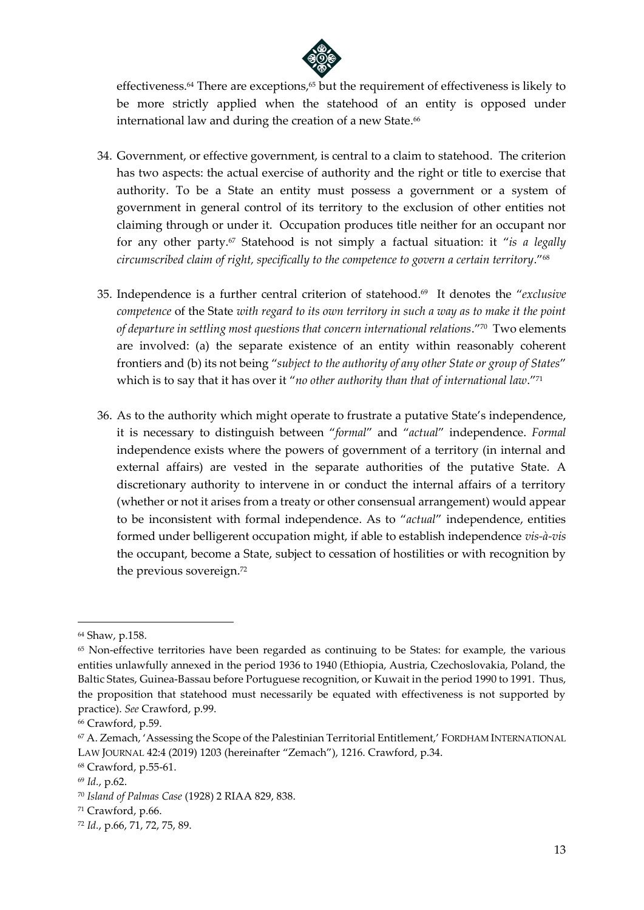

effectiveness.<sup>64</sup> There are exceptions, <sup>65</sup> but the requirement of effectiveness is likely to be more strictly applied when the statehood of an entity is opposed under international law and during the creation of a new State. $^{66}$ 

- 34. Government, or effective government, is central to a claim to statehood. The criterion has two aspects: the actual exercise of authority and the right or title to exercise that authority. To be a State an entity must possess a government or a system of government in general control of its territory to the exclusion of other entities not claiming through or under it. Occupation produces title neither for an occupant nor for any other party.<sup>67</sup> Statehood is not simply a factual situation: it "*is a legally circumscribed claim of right, specifically to the competence to govern a certain territory*."<sup>68</sup>
- 35. Independence is a further central criterion of statehood.<sup>69</sup> It denotes the "*exclusive competence* of the State *with regard to its own territory in such a way as to make it the point of departure in settling most questions that concern international relations*."<sup>70</sup> Two elements are involved: (a) the separate existence of an entity within reasonably coherent frontiers and (b) its not being "*subject to the authority of any other State or group of States*" which is to say that it has over it "*no other authority than that of international law*."<sup>71</sup>
- 36. As to the authority which might operate to frustrate a putative State's independence, it is necessary to distinguish between "*formal*" and "*actual*" independence. *Formal* independence exists where the powers of government of a territory (in internal and external affairs) are vested in the separate authorities of the putative State. A discretionary authority to intervene in or conduct the internal affairs of a territory (whether or not it arises from a treaty or other consensual arrangement) would appear to be inconsistent with formal independence. As to "*actual*" independence, entities formed under belligerent occupation might, if able to establish independence *vis-à-vis* the occupant, become a State, subject to cessation of hostilities or with recognition by the previous sovereign.<sup>72</sup>

<sup>64</sup> Shaw, p.158.

<sup>&</sup>lt;sup>65</sup> Non-effective territories have been regarded as continuing to be States: for example, the various entities unlawfully annexed in the period 1936 to 1940 (Ethiopia, Austria, Czechoslovakia, Poland, the Baltic States, Guinea-Bassau before Portuguese recognition, or Kuwait in the period 1990 to 1991. Thus, the proposition that statehood must necessarily be equated with effectiveness is not supported by practice). *See* Crawford, p.99.

<sup>66</sup> Crawford, p.59.

<sup>67</sup> A. Zemach, 'Assessing the Scope of the Palestinian Territorial Entitlement,' FORDHAM INTERNATIONAL LAW JOURNAL 42:4 (2019) 1203 (hereinafter "Zemach"), 1216. Crawford, p.34.

<sup>68</sup> Crawford, p.55-61.

<sup>69</sup> *Id.*, p.62.

<sup>70</sup> *Island of Palmas Case* (1928) 2 RIAA 829, 838.

<sup>71</sup> Crawford, p.66.

<sup>72</sup> *Id.*, p.66, 71, 72, 75, 89.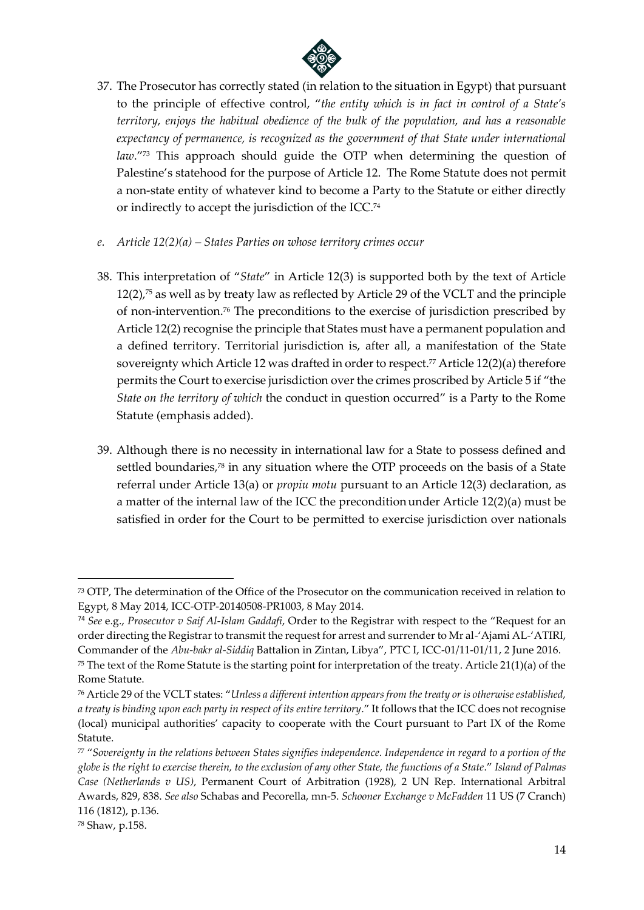

- 37. The Prosecutor has correctly stated (in relation to the situation in Egypt) that pursuant to the principle of effective control, "*the entity which is in fact in control of a State's territory, enjoys the habitual obedience of the bulk of the population, and has a reasonable expectancy of permanence, is recognized as the government of that State under international law*."<sup>73</sup> This approach should guide the OTP when determining the question of Palestine's statehood for the purpose of Article 12. The Rome Statute does not permit a non-state entity of whatever kind to become a Party to the Statute or either directly or indirectly to accept the jurisdiction of the ICC.<sup>74</sup>
- *e. Article 12(2)(a) – States Parties on whose territory crimes occur*
- 38. This interpretation of "*State*" in Article 12(3) is supported both by the text of Article 12(2), <sup>75</sup> as well as by treaty law as reflected by Article 29 of the VCLT and the principle of non-intervention.<sup>76</sup> The preconditions to the exercise of jurisdiction prescribed by Article 12(2) recognise the principle that States must have a permanent population and a defined territory. Territorial jurisdiction is, after all, a manifestation of the State sovereignty which Article 12 was drafted in order to respect. <sup>77</sup> Article 12(2)(a) therefore permits the Court to exercise jurisdiction over the crimes proscribed by Article 5 if "the *State on the territory of which* the conduct in question occurred" is a Party to the Rome Statute (emphasis added).
- 39. Although there is no necessity in international law for a State to possess defined and settled boundaries, <sup>78</sup> in any situation where the OTP proceeds on the basis of a State referral under Article 13(a) or *propiu motu* pursuant to an Article 12(3) declaration, as a matter of the internal law of the ICC the preconditionunder Article 12(2)(a) must be satisfied in order for the Court to be permitted to exercise jurisdiction over nationals

<sup>73</sup> OTP, The determination of the Office of the Prosecutor on the communication received in relation to Egypt, 8 May 2014, ICC-OTP-20140508-PR1003, 8 May 2014.

<sup>74</sup> *See* e.g., *Prosecutor v Saif Al-Islam Gaddafi*, Order to the Registrar with respect to the "Request for an order directing the Registrar to transmit the request for arrest and surrender to Mr al-'Ajami AL-'ATIRI, Commander of the *Abu-bakr al-Siddiq* Battalion in Zintan, Libya", PTC I, ICC-01/11-01/11, 2 June 2016.

 $75$  The text of the Rome Statute is the starting point for interpretation of the treaty. Article 21(1)(a) of the Rome Statute.

<sup>76</sup> Article 29 of the VCLT states: "*Unless a different intention appears from the treaty or is otherwise established, a treaty is binding upon each party in respect of its entire territory*." It follows that the ICC does not recognise (local) municipal authorities' capacity to cooperate with the Court pursuant to Part IX of the Rome Statute.

<sup>77</sup> "*Sovereignty in the relations between States signifies independence. Independence in regard to a portion of the globe is the right to exercise therein, to the exclusion of any other State, the functions of a State*." *Island of Palmas Case (Netherlands v US)*, Permanent Court of Arbitration (1928), 2 UN Rep. International Arbitral Awards, 829, 838. *See also* Schabas and Pecorella, mn-5. *Schooner Exchange v McFadden* 11 US (7 Cranch) 116 (1812), p.136.

<sup>78</sup> Shaw, p.158.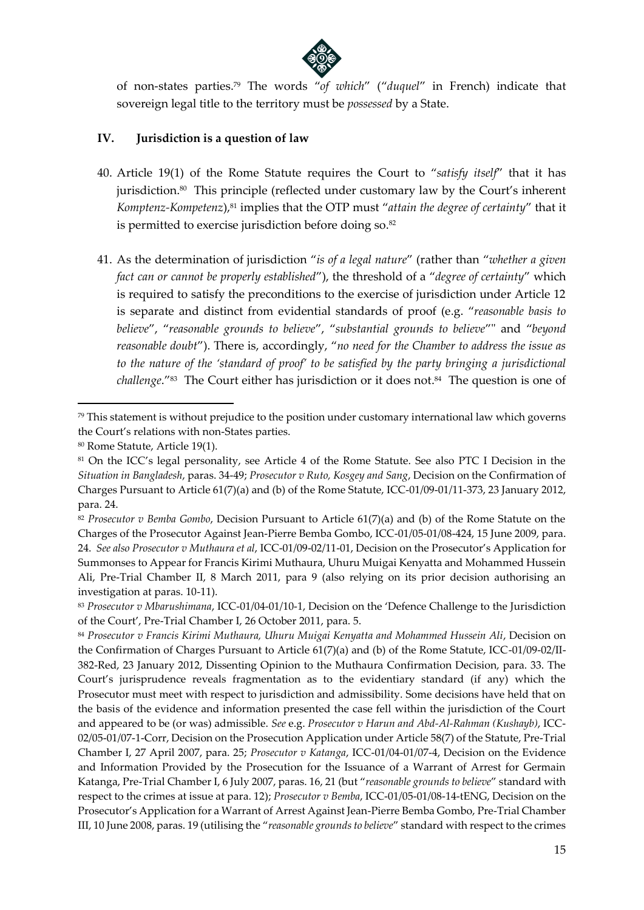

of non-states parties.<sup>79</sup> The words "*of which*" ("*duquel*" in French) indicate that sovereign legal title to the territory must be *possessed* by a State.

#### **IV. Jurisdiction is a question of law**

- 40. Article 19(1) of the Rome Statute requires the Court to "*satisfy itself*" that it has jurisdiction.<sup>80</sup> This principle (reflected under customary law by the Court's inherent *Komptenz-Kompetenz*), <sup>81</sup> implies that the OTP must "*attain the degree of certainty*" that it is permitted to exercise jurisdiction before doing so. 82
- 41. As the determination of jurisdiction "*is of a legal nature*" (rather than "*whether a given fact can or cannot be properly established*"), the threshold of a "*degree of certainty*" which is required to satisfy the preconditions to the exercise of jurisdiction under Article 12 is separate and distinct from evidential standards of proof (e.g. "*reasonable basis to believe*", "*reasonable grounds to believe*", "*substantial grounds to believe*"" and "*beyond reasonable doubt*"). There is, accordingly, "*no need for the Chamber to address the issue as to the nature of the 'standard of proof' to be satisfied by the party bringing a jurisdictional challenge*."<sup>83</sup> The Court either has jurisdiction or it does not. <sup>84</sup> The question is one of

<sup>79</sup> This statement is without prejudice to the position under customary international law which governs the Court's relations with non-States parties.

<sup>80</sup> Rome Statute, Article 19(1).

<sup>81</sup> On the ICC's legal personality, see Article 4 of the Rome Statute. See also PTC I Decision in the *Situation in Bangladesh*, paras. 34-49; *Prosecutor v Ruto, Kosgey and Sang*, Decision on the Confirmation of Charges Pursuant to Article 61(7)(a) and (b) of the Rome Statute, ICC-01/09-01/11-373, 23 January 2012, para. 24.

<sup>82</sup> *Prosecutor v Bemba Gombo*, Decision Pursuant to Article 61(7)(a) and (b) of the Rome Statute on the Charges of the Prosecutor Against Jean-Pierre Bemba Gombo, ICC-01/05-01/08-424, 15 June 2009, para. 24. *See also Prosecutor v Muthaura et al*, ICC-01/09-02/11-01, Decision on the Prosecutor's Application for Summonses to Appear for Francis Kirimi Muthaura, Uhuru Muigai Kenyatta and Mohammed Hussein Ali, Pre-Trial Chamber II, 8 March 2011, para 9 (also relying on its prior decision authorising an investigation at paras. 10-11).

<sup>83</sup> *Prosecutor v Mbarushimana*, ICC-01/04-01/10-1, Decision on the 'Defence Challenge to the Jurisdiction of the Court', Pre-Trial Chamber I, 26 October 2011, para. 5.

<sup>84</sup> *Prosecutor v Francis Kirimi Muthaura, Uhuru Muigai Kenyatta and Mohammed Hussein Ali*, Decision on the Confirmation of Charges Pursuant to Article 61(7)(a) and (b) of the Rome Statute, ICC-01/09-02/II-382-Red, 23 January 2012, Dissenting Opinion to the Muthaura Confirmation Decision, para. 33. The Court's jurisprudence reveals fragmentation as to the evidentiary standard (if any) which the Prosecutor must meet with respect to jurisdiction and admissibility. Some decisions have held that on the basis of the evidence and information presented the case fell within the jurisdiction of the Court and appeared to be (or was) admissible. *See* e.g. *Prosecutor v Harun and Abd-Al-Rahman (Kushayb)*, ICC-02/05-01/07-1-Corr, Decision on the Prosecution Application under Article 58(7) of the Statute, Pre-Trial Chamber I, 27 April 2007, para. 25; *Prosecutor v Katanga*, ICC-01/04-01/07-4, Decision on the Evidence and Information Provided by the Prosecution for the Issuance of a Warrant of Arrest for Germain Katanga, Pre-Trial Chamber I, 6 July 2007, paras. 16, 21 (but "*reasonable grounds to believe*" standard with respect to the crimes at issue at para. 12); *Prosecutor v Bemba*, ICC-01/05-01/08-14-tENG, Decision on the Prosecutor's Application for a Warrant of Arrest Against Jean-Pierre Bemba Gombo, Pre-Trial Chamber III, 10 June 2008, paras. 19 (utilising the "*reasonable grounds to believe*" standard with respect to the crimes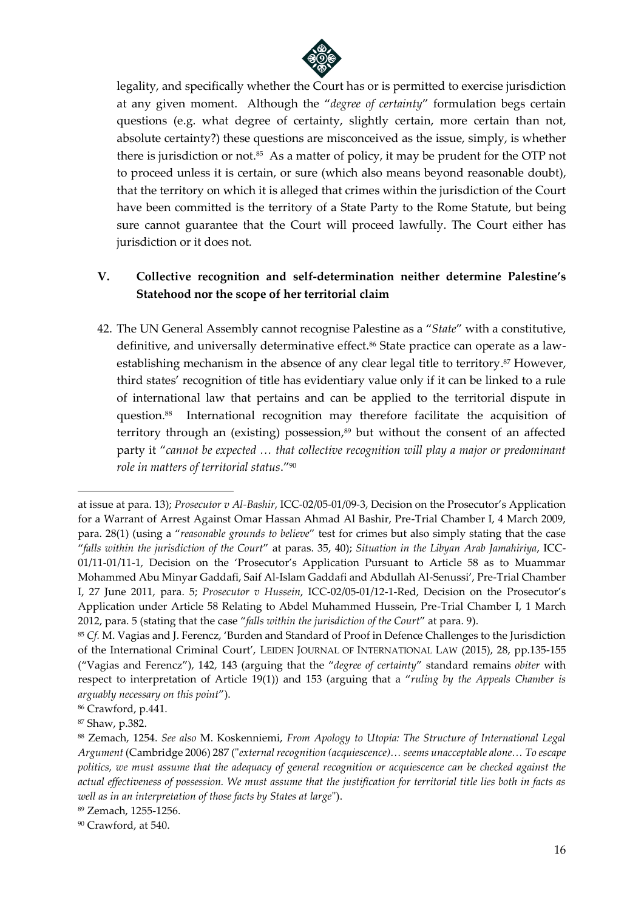

legality, and specifically whether the Court has or is permitted to exercise jurisdiction at any given moment. Although the "*degree of certainty*" formulation begs certain questions (e.g. what degree of certainty, slightly certain, more certain than not, absolute certainty?) these questions are misconceived as the issue, simply, is whether there is jurisdiction or not.<sup>85</sup> As a matter of policy, it may be prudent for the OTP not to proceed unless it is certain, or sure (which also means beyond reasonable doubt), that the territory on which it is alleged that crimes within the jurisdiction of the Court have been committed is the territory of a State Party to the Rome Statute, but being sure cannot guarantee that the Court will proceed lawfully. The Court either has jurisdiction or it does not.

# **V. Collective recognition and self-determination neither determine Palestine's Statehood nor the scope of her territorial claim**

42. The UN General Assembly cannot recognise Palestine as a "*State*" with a constitutive, definitive, and universally determinative effect.<sup>86</sup> State practice can operate as a lawestablishing mechanism in the absence of any clear legal title to territory. <sup>87</sup> However, third states' recognition of title has evidentiary value only if it can be linked to a rule of international law that pertains and can be applied to the territorial dispute in question.<sup>88</sup> International recognition may therefore facilitate the acquisition of territory through an (existing) possession,<sup>89</sup> but without the consent of an affected party it "*cannot be expected … that collective recognition will play a major or predominant role in matters of territorial status*."<sup>90</sup>

at issue at para. 13); *Prosecutor v Al-Bashir*, ICC-02/05-01/09-3, Decision on the Prosecutor's Application for a Warrant of Arrest Against Omar Hassan Ahmad Al Bashir, Pre-Trial Chamber I, 4 March 2009, para. 28(1) (using a "*reasonable grounds to believe*" test for crimes but also simply stating that the case "*falls within the jurisdiction of the Court*" at paras. 35, 40); *Situation in the Libyan Arab Jamahiriya*, ICC-01/11-01/11-1, Decision on the 'Prosecutor's Application Pursuant to Article 58 as to Muammar Mohammed Abu Minyar Gaddafi, Saif Al-Islam Gaddafi and Abdullah Al-Senussi', Pre-Trial Chamber I, 27 June 2011, para. 5; *Prosecutor v Hussein*, ICC-02/05-01/12-1-Red, Decision on the Prosecutor's Application under Article 58 Relating to Abdel Muhammed Hussein, Pre-Trial Chamber I, 1 March 2012, para. 5 (stating that the case "*falls within the jurisdiction of the Court*" at para. 9).

<sup>85</sup> *Cf.* M. Vagias and J. Ferencz, 'Burden and Standard of Proof in Defence Challenges to the Jurisdiction of the International Criminal Court', LEIDEN JOURNAL OF INTERNATIONAL LAW (2015), 28, pp.135-155 ("Vagias and Ferencz"), 142, 143 (arguing that the "*degree of certainty*" standard remains *obiter* with respect to interpretation of Article 19(1)) and 153 (arguing that a "*ruling by the Appeals Chamber is arguably necessary on this point*").

<sup>86</sup> Crawford, p.441.

<sup>87</sup> Shaw, p.382.

<sup>88</sup> Zemach, 1254. *See also* M. Koskenniemi, *From Apology to Utopia: The Structure of International Legal Argument* (Cambridge 2006) 287 ("*external recognition (acquiescence)… seems unacceptable alone… To escape politics, we must assume that the adequacy of general recognition or acquiescence can be checked against the actual effectiveness of possession. We must assume that the justification for territorial title lies both in facts as well as in an interpretation of those facts by States at large*").

<sup>89</sup> Zemach, 1255-1256.

<sup>90</sup> Crawford, at 540.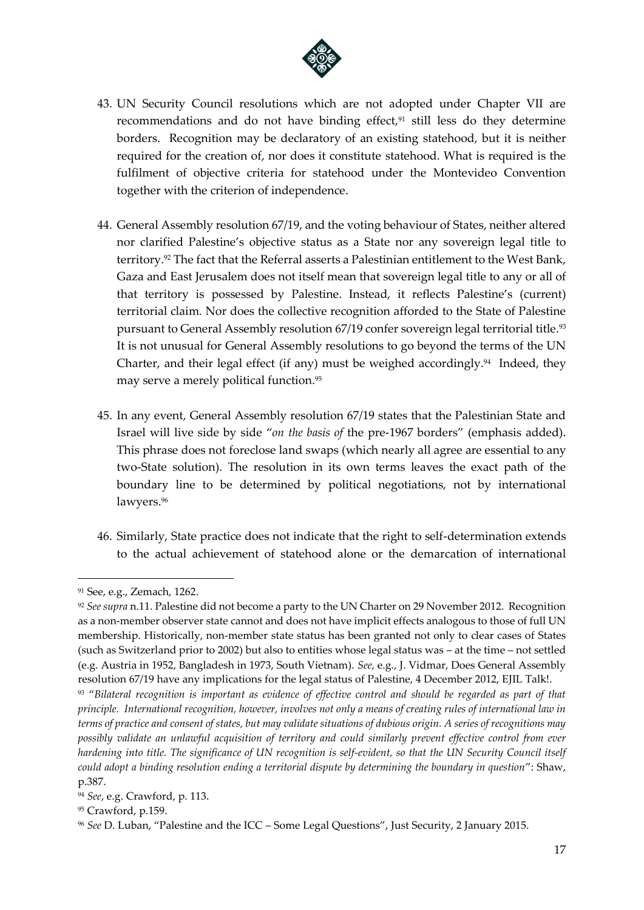

- 43. UN Security Council resolutions which are not adopted under Chapter VII are recommendations and do not have binding effect,<sup>91</sup> still less do they determine borders. Recognition may be declaratory of an existing statehood, but it is neither required for the creation of, nor does it constitute statehood. What is required is the fulfilment of objective criteria for statehood under the Montevideo Convention together with the criterion of independence.
- 44. General Assembly resolution 67/19, and the voting behaviour of States, neither altered nor clarified Palestine's objective status as a State nor any sovereign legal title to territory. <sup>92</sup> The fact that the Referral asserts a Palestinian entitlement to the West Bank, Gaza and East Jerusalem does not itself mean that sovereign legal title to any or all of that territory is possessed by Palestine. Instead, it reflects Palestine's (current) territorial claim*.* Nor does the collective recognition afforded to the State of Palestine pursuant to General Assembly resolution 67/19 confer sovereign legal territorial title. 93 It is not unusual for General Assembly resolutions to go beyond the terms of the UN Charter, and their legal effect (if any) must be weighed accordingly.<sup>94</sup> Indeed, they may serve a merely political function.<sup>95</sup>
- 45. In any event, General Assembly resolution 67/19 states that the Palestinian State and Israel will live side by side "*on the basis of* the pre-1967 borders" (emphasis added). This phrase does not foreclose land swaps (which nearly all agree are essential to any two-State solution). The resolution in its own terms leaves the exact path of the boundary line to be determined by political negotiations, not by international lawyers.<sup>96</sup>
- 46. Similarly, State practice does not indicate that the right to self-determination extends to the actual achievement of statehood alone or the demarcation of international

<sup>91</sup> See, e.g., Zemach, 1262.

<sup>92</sup> *See supra* n.11. Palestine did not become a party to the UN Charter on 29 November 2012. Recognition as a non-member observer state cannot and does not have implicit effects analogous to those of full UN membership. Historically, non-member state status has been granted not only to clear cases of States (such as Switzerland prior to 2002) but also to entities whose legal status was – at the time – not settled (e.g. Austria in 1952, Bangladesh in 1973, South Vietnam). *See*, e.g., J. Vidmar, Does General Assembly resolution 67/19 have any implications for the legal status of Palestine, 4 December 2012, EJIL Talk!. <sup>93</sup> "*Bilateral recognition is important as evidence of effective control and should be regarded as part of that* 

*principle. International recognition, however, involves not only a means of creating rules of international law in terms of practice and consent of states, but may validate situations of dubious origin. A series of recognitions may possibly validate an unlawful acquisition of territory and could similarly prevent effective control from ever hardening into title. The significance of UN recognition is self-evident, so that the UN Security Council itself could adopt a binding resolution ending a territorial dispute by determining the boundary in question*": Shaw, p.387.

<sup>94</sup> *See*, e.g. Crawford, p. 113.

<sup>95</sup> Crawford, p.159.

<sup>96</sup> *See* D. Luban, "Palestine and the ICC – Some Legal Questions", Just Security, 2 January 2015.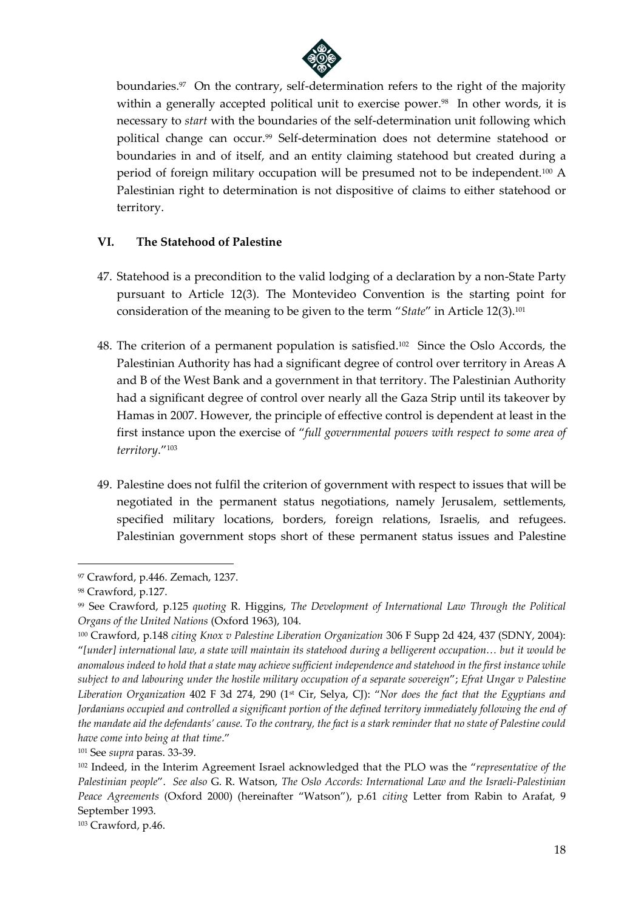

boundaries.<sup>97</sup> On the contrary, self-determination refers to the right of the majority within a generally accepted political unit to exercise power.<sup>98</sup> In other words, it is necessary to *start* with the boundaries of the self-determination unit following which political change can occur.<sup>99</sup> Self-determination does not determine statehood or boundaries in and of itself, and an entity claiming statehood but created during a period of foreign military occupation will be presumed not to be independent.<sup>100</sup> A Palestinian right to determination is not dispositive of claims to either statehood or territory.

### **VI. The Statehood of Palestine**

- 47. Statehood is a precondition to the valid lodging of a declaration by a non-State Party pursuant to Article 12(3). The Montevideo Convention is the starting point for consideration of the meaning to be given to the term "*State*" in Article 12(3).<sup>101</sup>
- 48. The criterion of a permanent population is satisfied. 102 Since the Oslo Accords, the Palestinian Authority has had a significant degree of control over territory in Areas A and B of the West Bank and a government in that territory. The Palestinian Authority had a significant degree of control over nearly all the Gaza Strip until its takeover by Hamas in 2007. However, the principle of effective control is dependent at least in the first instance upon the exercise of "*full governmental powers with respect to some area of territory*."<sup>103</sup>
- 49. Palestine does not fulfil the criterion of government with respect to issues that will be negotiated in the permanent status negotiations, namely Jerusalem, settlements, specified military locations, borders, foreign relations, Israelis, and refugees. Palestinian government stops short of these permanent status issues and Palestine

<sup>97</sup> Crawford, p.446. Zemach, 1237.

<sup>98</sup> Crawford, p.127.

<sup>99</sup> See Crawford, p.125 *quoting* R. Higgins, *The Development of International Law Through the Political Organs of the United Nations* (Oxford 1963), 104.

<sup>100</sup> Crawford, p.148 *citing Knox v Palestine Liberation Organization* 306 F Supp 2d 424, 437 (SDNY, 2004): "*[under] international law, a state will maintain its statehood during a belligerent occupation… but it would be anomalous indeed to hold that a state may achieve sufficient independence and statehood in the first instance while subject to and labouring under the hostile military occupation of a separate sovereign*"; *Efrat Ungar v Palestine Liberation Organization* 402 F 3d 274, 290 (1st Cir, Selya, CJ): "*Nor does the fact that the Egyptians and Jordanians occupied and controlled a significant portion of the defined territory immediately following the end of the mandate aid the defendants' cause. To the contrary, the fact is a stark reminder that no state of Palestine could have come into being at that time*."

<sup>101</sup> See *supra* paras. 33-39.

<sup>102</sup> Indeed, in the Interim Agreement Israel acknowledged that the PLO was the "*representative of the Palestinian people*". *See also* G. R. Watson, *The Oslo Accords: International Law and the Israeli-Palestinian Peace Agreements* (Oxford 2000) (hereinafter "Watson"), p.61 *citing* Letter from Rabin to Arafat, 9 September 1993.

<sup>103</sup> Crawford, p.46.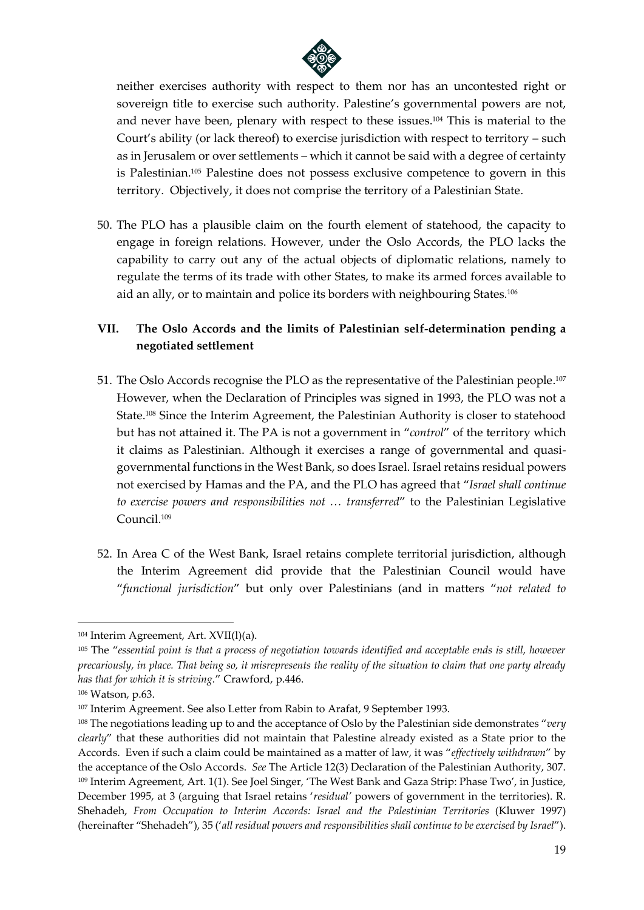

neither exercises authority with respect to them nor has an uncontested right or sovereign title to exercise such authority. Palestine's governmental powers are not, and never have been, plenary with respect to these issues. <sup>104</sup> This is material to the Court's ability (or lack thereof) to exercise jurisdiction with respect to territory – such as in Jerusalem or over settlements – which it cannot be said with a degree of certainty is Palestinian.<sup>105</sup> Palestine does not possess exclusive competence to govern in this territory. Objectively, it does not comprise the territory of a Palestinian State.

50. The PLO has a plausible claim on the fourth element of statehood, the capacity to engage in foreign relations. However, under the Oslo Accords, the PLO lacks the capability to carry out any of the actual objects of diplomatic relations, namely to regulate the terms of its trade with other States, to make its armed forces available to aid an ally, or to maintain and police its borders with neighbouring States.<sup>106</sup>

# **VII. The Oslo Accords and the limits of Palestinian self-determination pending a negotiated settlement**

- 51. The Oslo Accords recognise the PLO as the representative of the Palestinian people. 107 However, when the Declaration of Principles was signed in 1993, the PLO was not a State. <sup>108</sup> Since the Interim Agreement, the Palestinian Authority is closer to statehood but has not attained it. The PA is not a government in "*control*" of the territory which it claims as Palestinian. Although it exercises a range of governmental and quasigovernmental functions in the West Bank, so does Israel. Israel retains residual powers not exercised by Hamas and the PA, and the PLO has agreed that "*Israel shall continue to exercise powers and responsibilities not … transferred*" to the Palestinian Legislative Council.<sup>109</sup>
- 52. In Area C of the West Bank, Israel retains complete territorial jurisdiction, although the Interim Agreement did provide that the Palestinian Council would have "*functional jurisdiction*" but only over Palestinians (and in matters "*not related to*

<sup>104</sup> Interim Agreement, Art. XVII(l)(a).

<sup>105</sup> The "*essential point is that a process of negotiation towards identified and acceptable ends is still, however precariously, in place. That being so, it misrepresents the reality of the situation to claim that one party already has that for which it is striving.*" Crawford, p.446.

<sup>106</sup> Watson, p.63.

<sup>107</sup> Interim Agreement. See also Letter from Rabin to Arafat, 9 September 1993.

<sup>108</sup> The negotiations leading up to and the acceptance of Oslo by the Palestinian side demonstrates "*very clearly*" that these authorities did not maintain that Palestine already existed as a State prior to the Accords. Even if such a claim could be maintained as a matter of law, it was "*effectively withdrawn*" by the acceptance of the Oslo Accords. *See* The Article 12(3) Declaration of the Palestinian Authority, 307. <sup>109</sup> Interim Agreement, Art. 1(1). See Joel Singer, 'The West Bank and Gaza Strip: Phase Two', in Justice, December 1995, at 3 (arguing that Israel retains '*residual'* powers of government in the territories). R. Shehadeh, *From Occupation to Interim Accords: Israel and the Palestinian Territories* (Kluwer 1997) (hereinafter "Shehadeh"), 35 ('*all residual powers and responsibilities shall continue to be exercised by Israel*").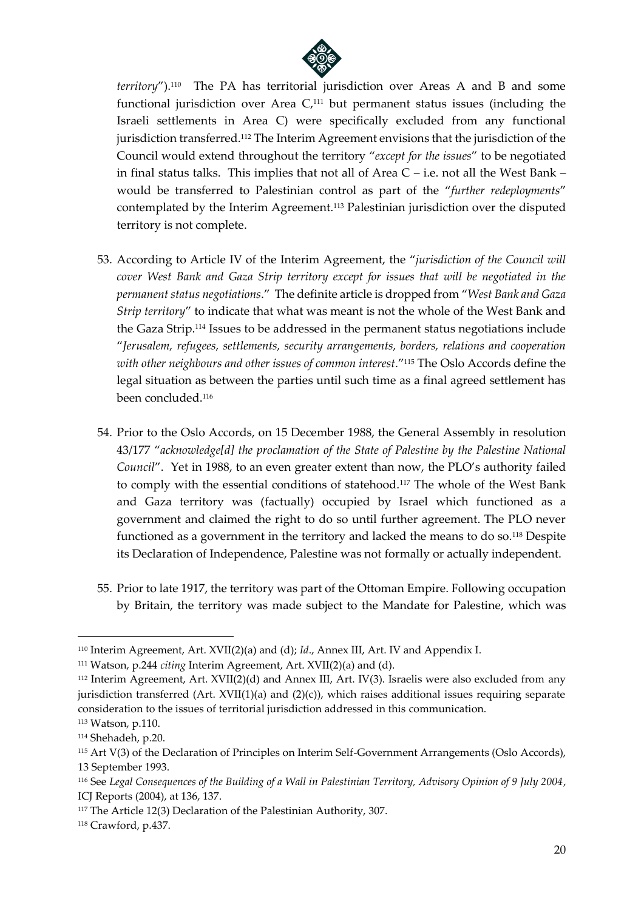

*territory*").<sup>110</sup> The PA has territorial jurisdiction over Areas A and B and some functional jurisdiction over Area C, <sup>111</sup> but permanent status issues (including the Israeli settlements in Area C) were specifically excluded from any functional jurisdiction transferred. <sup>112</sup> The Interim Agreement envisions that the jurisdiction of the Council would extend throughout the territory "*except for the issues*" to be negotiated in final status talks. This implies that not all of Area C – i.e. not all the West Bank – would be transferred to Palestinian control as part of the "*further redeployments*" contemplated by the Interim Agreement.<sup>113</sup> Palestinian jurisdiction over the disputed territory is not complete.

- 53. According to Article IV of the Interim Agreement, the "*jurisdiction of the Council will cover West Bank and Gaza Strip territory except for issues that will be negotiated in the permanent status negotiations*." The definite article is dropped from "*West Bank and Gaza Strip territory*" to indicate that what was meant is not the whole of the West Bank and the Gaza Strip.<sup>114</sup> Issues to be addressed in the permanent status negotiations include "*Jerusalem, refugees, settlements, security arrangements, borders, relations and cooperation with other neighbours and other issues of common interest*."<sup>115</sup> The Oslo Accords define the legal situation as between the parties until such time as a final agreed settlement has been concluded.<sup>116</sup>
- 54. Prior to the Oslo Accords, on 15 December 1988, the General Assembly in resolution 43/177 "*acknowledge[d] the proclamation of the State of Palestine by the Palestine National Council*". Yet in 1988, to an even greater extent than now, the PLO's authority failed to comply with the essential conditions of statehood.<sup>117</sup> The whole of the West Bank and Gaza territory was (factually) occupied by Israel which functioned as a government and claimed the right to do so until further agreement. The PLO never functioned as a government in the territory and lacked the means to do so.<sup>118</sup> Despite its Declaration of Independence, Palestine was not formally or actually independent.
- 55. Prior to late 1917, the territory was part of the Ottoman Empire. Following occupation by Britain, the territory was made subject to the Mandate for Palestine, which was

<sup>110</sup> Interim Agreement, Art. XVII(2)(a) and (d); *Id*., Annex III, Art. IV and Appendix I.

<sup>111</sup> Watson, p.244 *citing* Interim Agreement, Art. XVII(2)(a) and (d).

<sup>112</sup> Interim Agreement, Art. XVII(2)(d) and Annex III, Art. IV(3). Israelis were also excluded from any jurisdiction transferred  $(Art. XVII(1)(a)$  and  $(2)(c)$ ), which raises additional issues requiring separate consideration to the issues of territorial jurisdiction addressed in this communication.

<sup>113</sup> Watson, p.110.

<sup>114</sup> Shehadeh, p.20.

<sup>115</sup> Art V(3) of the Declaration of Principles on Interim Self-Government Arrangements (Oslo Accords), 13 September 1993.

<sup>116</sup> See *Legal Consequences of the Building of a Wall in Palestinian Territory, Advisory Opinion of 9 July 2004*, ICJ Reports (2004), at 136, 137.

<sup>117</sup> The Article 12(3) Declaration of the Palestinian Authority, 307.

<sup>118</sup> Crawford, p.437.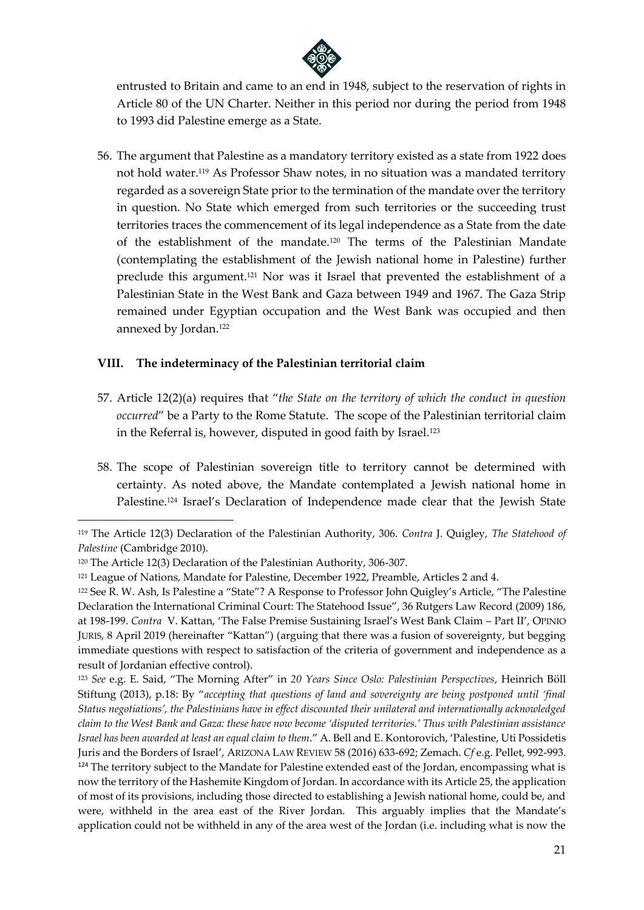

entrusted to Britain and came to an end in 1948, subject to the reservation of rights in Article 80 of the UN Charter. Neither in this period nor during the period from 1948 to 1993 did Palestine emerge as a State.

56. The argument that Palestine as a mandatory territory existed as a state from 1922 does not hold water.<sup>119</sup> As Professor Shaw notes, in no situation was a mandated territory regarded as a sovereign State prior to the termination of the mandate over the territory in question. No State which emerged from such territories or the succeeding trust territories traces the commencement of its legal independence as a State from the date of the establishment of the mandate.<sup>120</sup> The terms of the Palestinian Mandate (contemplating the establishment of the Jewish national home in Palestine) further preclude this argument. <sup>121</sup> Nor was it Israel that prevented the establishment of a Palestinian State in the West Bank and Gaza between 1949 and 1967. The Gaza Strip remained under Egyptian occupation and the West Bank was occupied and then annexed by Jordan.<sup>122</sup>

### **VIII. The indeterminacy of the Palestinian territorial claim**

- 57. Article 12(2)(a) requires that "*the State on the territory of which the conduct in question occurred*" be a Party to the Rome Statute. The scope of the Palestinian territorial claim in the Referral is, however, disputed in good faith by Israel. 123
- 58. The scope of Palestinian sovereign title to territory cannot be determined with certainty. As noted above, the Mandate contemplated a Jewish national home in Palestine.<sup>124</sup> Israel's Declaration of Independence made clear that the Jewish State

<sup>119</sup> The Article 12(3) Declaration of the Palestinian Authority, 306. *Contra* J. Quigley, *The Statehood of Palestine* (Cambridge 2010).

<sup>120</sup> The Article 12(3) Declaration of the Palestinian Authority, 306-307.

<sup>121</sup> League of Nations, Mandate for Palestine, December 1922, Preamble, Articles 2 and 4.

<sup>122</sup> See R. W. Ash, Is Palestine a "State"? A Response to Professor John Quigley's Article, "The Palestine Declaration the International Criminal Court: The Statehood Issue", 36 Rutgers Law Record (2009) 186, at 198-199. *Contra* V. Kattan, 'The False Premise Sustaining Israel's West Bank Claim – Part II', OPINIO JURIS, 8 April 2019 (hereinafter "Kattan") (arguing that there was a fusion of sovereignty, but begging immediate questions with respect to satisfaction of the criteria of government and independence as a result of Jordanian effective control).

<sup>123</sup> *See* e.g. E. Said, "The Morning After" in *20 Years Since Oslo: Palestinian Perspectives*, Heinrich Böll Stiftung (2013), p.18: By "*accepting that questions of land and sovereignty are being postponed until 'final Status negotiations', the Palestinians have in effect discounted their unilateral and internationally acknowledged claim to the West Bank and Gaza: these have now become 'disputed territories.' Thus with Palestinian assistance Israel has been awarded at least an equal claim to them*." A. Bell and E. Kontorovich, 'Palestine, Uti Possidetis Juris and the Borders of Israel', ARIZONA LAW REVIEW 58 (2016) 633-692; Zemach. *Cf* e.g. Pellet, 992-993. <sup>124</sup> The territory subject to the Mandate for Palestine extended east of the Jordan, encompassing what is now the territory of the Hashemite Kingdom of Jordan. In accordance with its Article 25, the application of most of its provisions, including those directed to establishing a Jewish national home, could be, and were, withheld in the area east of the River Jordan. This arguably implies that the Mandate's application could not be withheld in any of the area west of the Jordan (i.e. including what is now the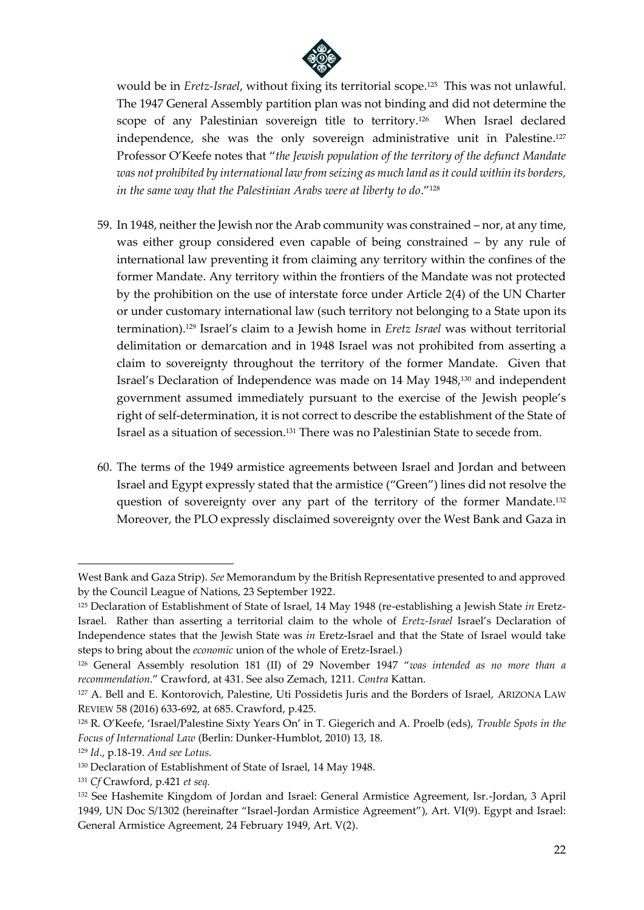

would be in *Eretz-Israel*, without fixing its territorial scope. 125 This was not unlawful. The 1947 General Assembly partition plan was not binding and did not determine the scope of any Palestinian sovereign title to territory. 126 When Israel declared independence, she was the only sovereign administrative unit in Palestine. 127 Professor O'Keefe notes that "*the Jewish population of the territory of the defunct Mandate was not prohibited by international law from seizing as much land as it could within its borders, in the same way that the Palestinian Arabs were at liberty to do*."<sup>128</sup>

- 59. In 1948, neither the Jewish nor the Arab community was constrained nor, at any time, was either group considered even capable of being constrained – by any rule of international law preventing it from claiming any territory within the confines of the former Mandate. Any territory within the frontiers of the Mandate was not protected by the prohibition on the use of interstate force under Article 2(4) of the UN Charter or under customary international law (such territory not belonging to a State upon its termination).<sup>129</sup> Israel's claim to a Jewish home in *Eretz Israel* was without territorial delimitation or demarcation and in 1948 Israel was not prohibited from asserting a claim to sovereignty throughout the territory of the former Mandate. Given that Israel's Declaration of Independence was made on 14 May 1948, <sup>130</sup> and independent government assumed immediately pursuant to the exercise of the Jewish people's right of self-determination, it is not correct to describe the establishment of the State of Israel as a situation of secession.<sup>131</sup> There was no Palestinian State to secede from.
- 60. The terms of the 1949 armistice agreements between Israel and Jordan and between Israel and Egypt expressly stated that the armistice ("Green") lines did not resolve the question of sovereignty over any part of the territory of the former Mandate.<sup>132</sup> Moreover, the PLO expressly disclaimed sovereignty over the West Bank and Gaza in

West Bank and Gaza Strip). *See* Memorandum by the British Representative presented to and approved by the Council League of Nations, 23 September 1922.

<sup>125</sup> Declaration of Establishment of State of Israel, 14 May 1948 (re-establishing a Jewish State *in* Eretz-Israel. Rather than asserting a territorial claim to the whole of *Eretz-Israel* Israel's Declaration of Independence states that the Jewish State was *in* Eretz-Israel and that the State of Israel would take steps to bring about the *economic* union of the whole of Eretz-Israel.)

<sup>126</sup> General Assembly resolution 181 (II) of 29 November 1947 "*was intended as no more than a recommendation*." Crawford, at 431. See also Zemach, 1211. *Contra* Kattan.

<sup>127</sup> A. Bell and E. Kontorovich, Palestine, Uti Possidetis Juris and the Borders of Israel, ARIZONA LAW REVIEW 58 (2016) 633-692, at 685. Crawford, p.425.

<sup>128</sup> R. O'Keefe, 'Israel/Palestine Sixty Years On' in T. Giegerich and A. Proelb (eds), *Trouble Spots in the Focus of International Law* (Berlin: Dunker-Humblot, 2010) 13, 18.

<sup>129</sup> *Id*., p.18-19. *And see Lotus.*

<sup>130</sup> Declaration of Establishment of State of Israel, 14 May 1948.

<sup>131</sup> *Cf* Crawford, p.421 *et seq.*

<sup>132</sup> See Hashemite Kingdom of Jordan and Israel: General Armistice Agreement, Isr.-Jordan, 3 April 1949, UN Doc S/1302 (hereinafter "Israel-Jordan Armistice Agreement"), Art. VI(9). Egypt and Israel: General Armistice Agreement, 24 February 1949, Art. V(2).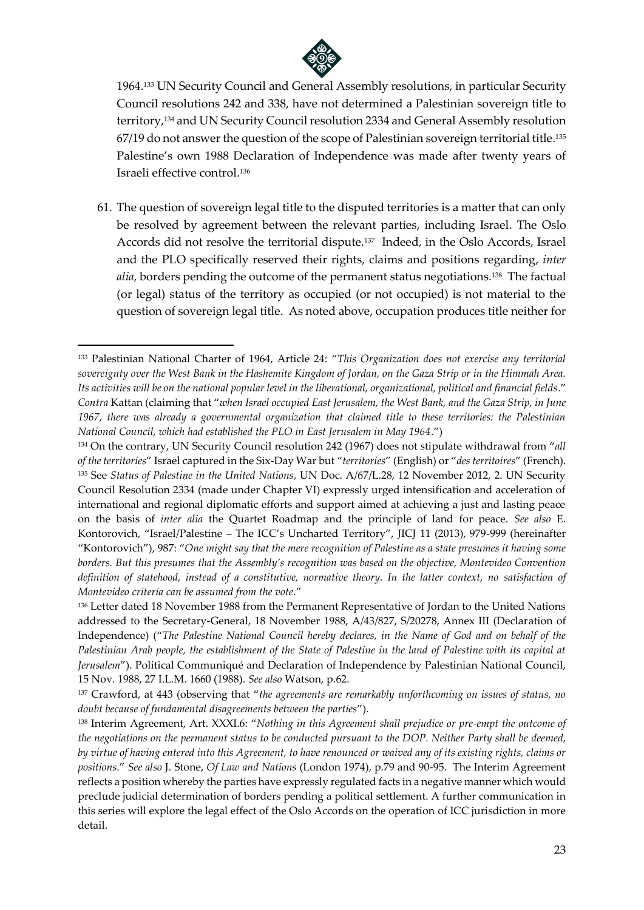

1964.<sup>133</sup> UN Security Council and General Assembly resolutions, in particular Security Council resolutions 242 and 338, have not determined a Palestinian sovereign title to territory, <sup>134</sup> and UN Security Council resolution 2334 and General Assembly resolution 67/19 do not answer the question of the scope of Palestinian sovereign territorial title. 135 Palestine's own 1988 Declaration of Independence was made after twenty years of Israeli effective control. 136

61. The question of sovereign legal title to the disputed territories is a matter that can only be resolved by agreement between the relevant parties, including Israel. The Oslo Accords did not resolve the territorial dispute.<sup>137</sup> Indeed, in the Oslo Accords, Israel and the PLO specifically reserved their rights, claims and positions regarding, *inter alia*, borders pending the outcome of the permanent status negotiations.<sup>138</sup> The factual (or legal) status of the territory as occupied (or not occupied) is not material to the question of sovereign legal title. As noted above, occupation produces title neither for

<sup>133</sup> Palestinian National Charter of 1964, Article 24: "*This Organization does not exercise any territorial sovereignty over the West Bank in the Hashemite Kingdom of Jordan, on the Gaza Strip or in the Himmah Area. Its activities will be on the national popular level in the liberational, organizational, political and financial fields*." *Contra* Kattan (claiming that "*when Israel occupied East Jerusalem, the West Bank, and the Gaza Strip, in June 1967, there was already a governmental organization that claimed title to these territories: the Palestinian National Council, which had established the PLO in East Jerusalem in May 1964*.")

<sup>134</sup> On the contrary, UN Security Council resolution 242 (1967) does not stipulate withdrawal from "*all of the territories*" Israel captured in the Six-Day War but "*territories*" (English) or "*des territoires*" (French). <sup>135</sup> See *Status of Palestine in the United Nations*, UN Doc. A/67/L.28, 12 November 2012, 2. UN Security Council Resolution 2334 (made under Chapter VI) expressly urged intensification and acceleration of international and regional diplomatic efforts and support aimed at achieving a just and lasting peace on the basis of *inter alia* the Quartet Roadmap and the principle of land for peace. *See also* E. Kontorovich, "Israel/Palestine – The ICC's Uncharted Territory", JICJ 11 (2013), 979-999 (hereinafter "Kontorovich"), 987: "*One might say that the mere recognition of Palestine as a state presumes it having some borders. But this presumes that the Assembly's recognition was based on the objective, Montevideo Convention definition of statehood, instead of a constitutive, normative theory. In the latter context, no satisfaction of Montevideo criteria can be assumed from the vote*."

<sup>&</sup>lt;sup>136</sup> Letter dated 18 November 1988 from the Permanent Representative of Jordan to the United Nations addressed to the Secretary-General, 18 November 1988, A/43/827, S/20278, Annex III (Declaration of Independence) ("*The Palestine National Council hereby declares, in the Name of God and on behalf of the Palestinian Arab people, the establishment of the State of Palestine in the land of Palestine with its capital at Jerusalem*"). Political Communiqué and Declaration of Independence by Palestinian National Council, 15 Nov. 1988, 27 I.L.M. 1660 (1988). *See also* Watson, p.62.

<sup>137</sup> Crawford, at 443 (observing that "*the agreements are remarkably unforthcoming on issues of status, no doubt because of fundamental disagreements between the parties*").

<sup>138</sup> Interim Agreement, Art. XXXI.6: "*Nothing in this Agreement shall prejudice or pre-empt the outcome of the negotiations on the permanent status to be conducted pursuant to the DOP. Neither Party shall be deemed, by virtue of having entered into this Agreement, to have renounced or waived any of its existing rights, claims or positions*." *See also* J. Stone, *Of Law and Nations* (London 1974), p.79 and 90-95. The Interim Agreement reflects a position whereby the parties have expressly regulated facts in a negative manner which would preclude judicial determination of borders pending a political settlement. A further communication in this series will explore the legal effect of the Oslo Accords on the operation of ICC jurisdiction in more detail.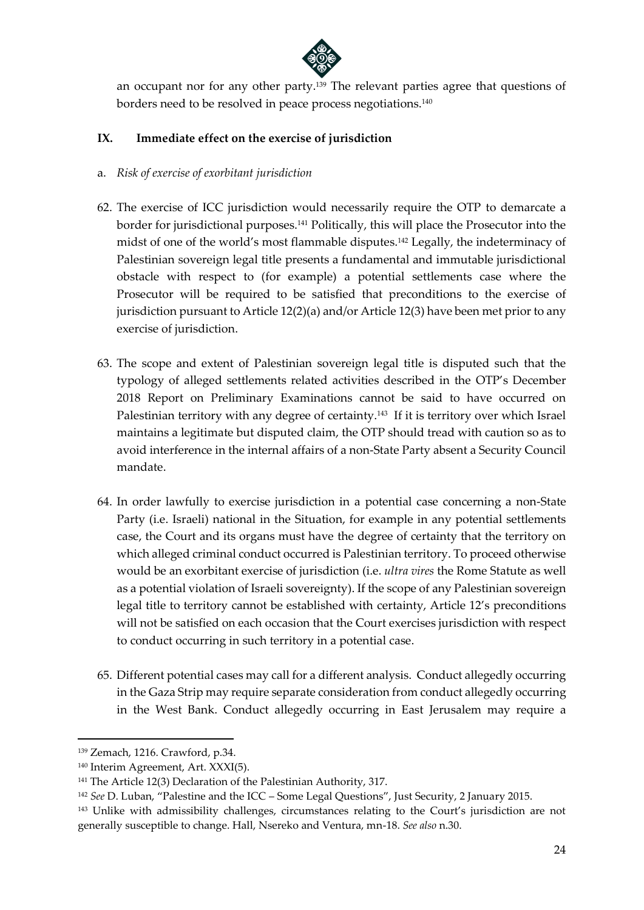

an occupant nor for any other party.<sup>139</sup> The relevant parties agree that questions of borders need to be resolved in peace process negotiations.<sup>140</sup>

### **IX. Immediate effect on the exercise of jurisdiction**

- a. *Risk of exercise of exorbitant jurisdiction*
- 62. The exercise of ICC jurisdiction would necessarily require the OTP to demarcate a border for jurisdictional purposes.<sup>141</sup> Politically, this will place the Prosecutor into the midst of one of the world's most flammable disputes.<sup>142</sup> Legally, the indeterminacy of Palestinian sovereign legal title presents a fundamental and immutable jurisdictional obstacle with respect to (for example) a potential settlements case where the Prosecutor will be required to be satisfied that preconditions to the exercise of jurisdiction pursuant to Article 12(2)(a) and/or Article 12(3) have been met prior to any exercise of jurisdiction.
- 63. The scope and extent of Palestinian sovereign legal title is disputed such that the typology of alleged settlements related activities described in the OTP's December 2018 Report on Preliminary Examinations cannot be said to have occurred on Palestinian territory with any degree of certainty.<sup>143</sup> If it is territory over which Israel maintains a legitimate but disputed claim, the OTP should tread with caution so as to avoid interference in the internal affairs of a non-State Party absent a Security Council mandate.
- 64. In order lawfully to exercise jurisdiction in a potential case concerning a non-State Party (i.e. Israeli) national in the Situation, for example in any potential settlements case, the Court and its organs must have the degree of certainty that the territory on which alleged criminal conduct occurred is Palestinian territory. To proceed otherwise would be an exorbitant exercise of jurisdiction (i.e. *ultra vires* the Rome Statute as well as a potential violation of Israeli sovereignty). If the scope of any Palestinian sovereign legal title to territory cannot be established with certainty, Article 12's preconditions will not be satisfied on each occasion that the Court exercises jurisdiction with respect to conduct occurring in such territory in a potential case.
- 65. Different potential cases may call for a different analysis. Conduct allegedly occurring in the Gaza Strip may require separate consideration from conduct allegedly occurring in the West Bank. Conduct allegedly occurring in East Jerusalem may require a

<sup>139</sup> Zemach, 1216. Crawford, p.34.

<sup>140</sup> Interim Agreement, Art. XXXI(5).

<sup>141</sup> The Article 12(3) Declaration of the Palestinian Authority, 317.

<sup>142</sup> *See* D. Luban, "Palestine and the ICC – Some Legal Questions", Just Security, 2 January 2015.

<sup>&</sup>lt;sup>143</sup> Unlike with admissibility challenges, circumstances relating to the Court's jurisdiction are not generally susceptible to change. Hall, Nsereko and Ventura, mn-18. *See also* n.30.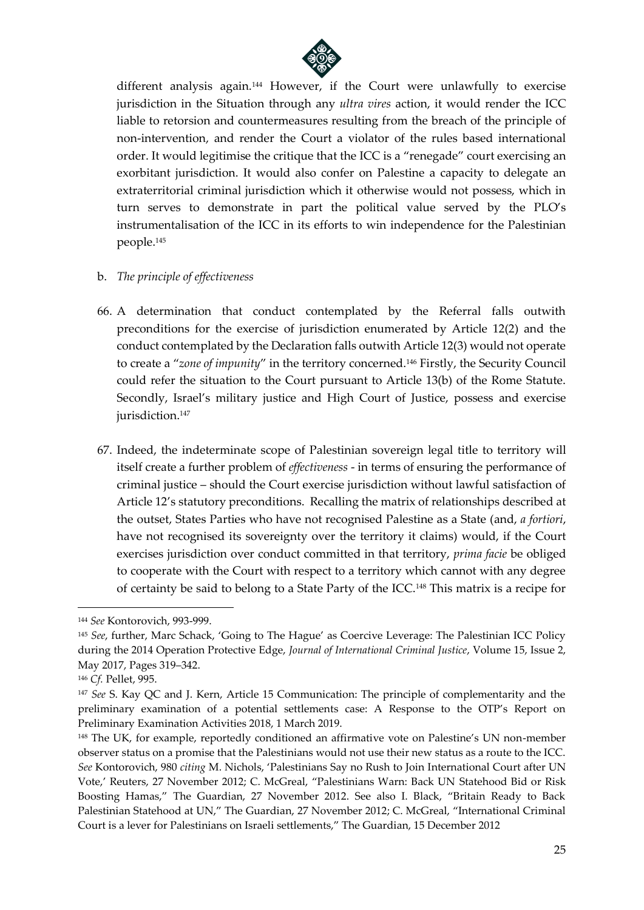

different analysis again.<sup>144</sup> However, if the Court were unlawfully to exercise jurisdiction in the Situation through any *ultra vires* action, it would render the ICC liable to retorsion and countermeasures resulting from the breach of the principle of non-intervention, and render the Court a violator of the rules based international order. It would legitimise the critique that the ICC is a "renegade" court exercising an exorbitant jurisdiction. It would also confer on Palestine a capacity to delegate an extraterritorial criminal jurisdiction which it otherwise would not possess, which in turn serves to demonstrate in part the political value served by the PLO's instrumentalisation of the ICC in its efforts to win independence for the Palestinian people. 145

- b. *The principle of effectiveness*
- 66. A determination that conduct contemplated by the Referral falls outwith preconditions for the exercise of jurisdiction enumerated by Article 12(2) and the conduct contemplated by the Declaration falls outwith Article 12(3) would not operate to create a "*zone of impunity*" in the territory concerned.<sup>146</sup> Firstly, the Security Council could refer the situation to the Court pursuant to Article 13(b) of the Rome Statute. Secondly, Israel's military justice and High Court of Justice, possess and exercise jurisdiction.<sup>147</sup>
- 67. Indeed, the indeterminate scope of Palestinian sovereign legal title to territory will itself create a further problem of *effectiveness* - in terms of ensuring the performance of criminal justice – should the Court exercise jurisdiction without lawful satisfaction of Article 12's statutory preconditions. Recalling the matrix of relationships described at the outset, States Parties who have not recognised Palestine as a State (and, *a fortiori*, have not recognised its sovereignty over the territory it claims) would, if the Court exercises jurisdiction over conduct committed in that territory, *prima facie* be obliged to cooperate with the Court with respect to a territory which cannot with any degree of certainty be said to belong to a State Party of the ICC.<sup>148</sup> This matrix is a recipe for

<sup>144</sup> *See* Kontorovich, 993-999.

<sup>145</sup> *See*, further, Marc Schack, 'Going to The Hague' as Coercive Leverage: The Palestinian ICC Policy during the 2014 Operation Protective Edge, *Journal of International Criminal Justice*, Volume 15, Issue 2, May 2017, Pages 319–342.

<sup>146</sup> *Cf.* Pellet, 995.

<sup>147</sup> *See* S. Kay QC and J. Kern, Article 15 Communication: The principle of complementarity and the preliminary examination of a potential settlements case: A Response to the OTP's Report on Preliminary Examination Activities 2018, 1 March 2019.

<sup>&</sup>lt;sup>148</sup> The UK, for example, reportedly conditioned an affirmative vote on Palestine's UN non-member observer status on a promise that the Palestinians would not use their new status as a route to the ICC. *See* Kontorovich, 980 *citing* M. Nichols, 'Palestinians Say no Rush to Join International Court after UN Vote,' Reuters, 27 November 2012; C. McGreal, "Palestinians Warn: Back UN Statehood Bid or Risk Boosting Hamas," The Guardian, 27 November 2012. See also I. Black, "Britain Ready to Back Palestinian Statehood at UN," The Guardian, 27 November 2012; C. McGreal, "International Criminal Court is a lever for Palestinians on Israeli settlements," The Guardian, 15 December 2012